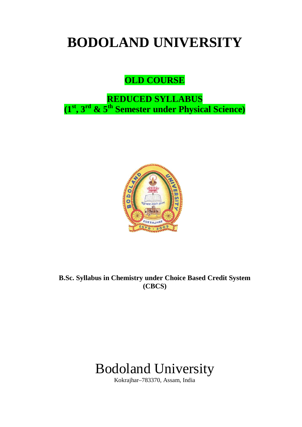# **BODOLAND UNIVERSITY**

# **OLD COURSE**

# **REDUCED SYLLABUS (1st, 3rd & 5th Semester under Physical Science)**



**B.Sc. Syllabus in Chemistry under Choice Based Credit System (CBCS)** 

# Bodoland University

Kokrajhar–783370, Assam, India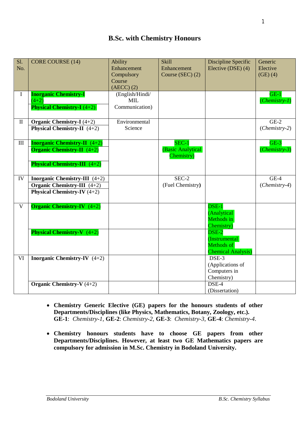# **B.Sc. with Chemistry Honours**

| S1.<br>No.                       | <b>CORE COURSE (14)</b>                                                      | Ability<br>Enhancement<br>Compulsory<br>Course  | <b>Skill</b><br>Enhancement<br>Course (SEC) (2) | Discipline Specific<br>Elective (DSE) (4)                         | Generic<br>Elective<br>$(GE)$ $(4)$ |
|----------------------------------|------------------------------------------------------------------------------|-------------------------------------------------|-------------------------------------------------|-------------------------------------------------------------------|-------------------------------------|
|                                  |                                                                              | $(AECC)$ $(2)$                                  |                                                 |                                                                   |                                     |
| $\bf{I}$                         | <b>Inorganic Chemistry-I</b><br>$(4+2)$<br><b>Physical Chemistry-I</b> (4+2) | (English/Hindi/<br><b>MIL</b><br>Communication) |                                                 |                                                                   | $GE-1$<br>$(Chemistry-1)$           |
| $\mathbf{I}$                     | Organic Chemistry-I $(4+2)$                                                  | Environmental                                   |                                                 |                                                                   | $GE-2$                              |
|                                  | <b>Physical Chemistry-II</b> $(4+2)$                                         | Science                                         |                                                 |                                                                   | $(Chemistry-2)$                     |
| $\mathop{\mathrm{III}}\nolimits$ | <b>Inorganic Chemistry-II</b> $(4+2)$<br><b>Organic Chemistry-II</b> $(4+2)$ |                                                 | $SEC-1$<br>(Basic Analytical<br>Chemistry)      |                                                                   | $GE-3$<br>(Chemistry-3)             |
|                                  | <b>Physical Chemistry-III</b> $(4+2)$                                        |                                                 |                                                 |                                                                   |                                     |
| IV                               | Inorganic Chemistry-III (4+2)                                                |                                                 | $SEC-2$                                         |                                                                   | $GE-4$                              |
|                                  | Organic Chemistry-III $(4+2)$                                                |                                                 | (Fuel Chemistry)                                |                                                                   | $(Chemistry-4)$                     |
|                                  | <b>Physical Chemistry-IV</b> $(4+2)$                                         |                                                 |                                                 |                                                                   |                                     |
| $\mathbf{V}$                     | <b>Organic Chemistry-IV</b> $(4+2)$                                          |                                                 |                                                 | (Analytical<br>Methods in<br>Chemistry)                           |                                     |
|                                  | <b>Physical Chemistry-V</b> $(4+2)$                                          |                                                 |                                                 | DSE-2<br>(Instrumental<br>Methods of<br><b>Chemical Analysis)</b> |                                     |
| VI                               | <b>Inorganic Chemistry-IV</b> $(4+2)$                                        |                                                 |                                                 | DSE-3<br>(Applications of<br>Computers in<br>Chemistry)           |                                     |
|                                  | Organic Chemistry-V $(4+2)$                                                  |                                                 |                                                 | DSE-4<br>(Dissertation)                                           |                                     |

- **Chemistry Generic Elective (GE) papers for the honours students of other Departments/Disciplines (like Physics, Mathematics, Botany, Zoology, etc.). GE-1**: *Chemistry-1*, **GE-2**: *Chemistry-2*, **GE-3**: *Chemistry-3*, **GE-4**: *Chemistry*-*4*.
- **Chemistry honours students have to choose GE papers from other Departments/Disciplines. However, at least two GE Mathematics papers are compulsory for admission in M.Sc. Chemistry in Bodoland University.**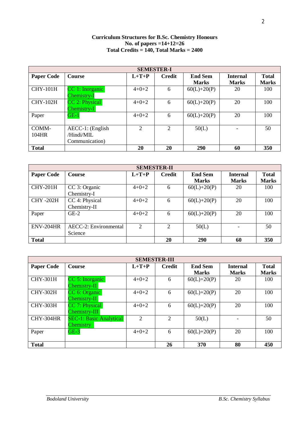#### **Curriculum Structures for B.Sc. Chemistry Honours No. of papers =14+12=26 Total Credits = 140, Total Marks = 2400**

| <b>SEMESTER-I</b> |                  |                |                             |                |                 |              |  |  |
|-------------------|------------------|----------------|-----------------------------|----------------|-----------------|--------------|--|--|
| <b>Paper Code</b> | <b>Course</b>    | $L+T+P$        | <b>Credit</b>               | <b>End Sem</b> | <b>Internal</b> | <b>Total</b> |  |  |
|                   |                  |                |                             | <b>Marks</b>   | <b>Marks</b>    | <b>Marks</b> |  |  |
| <b>CHY-101H</b>   | CC 1: Inorganic  | $4+0+2$        | 6                           | $60(L)+20(P)$  | 20              | 100          |  |  |
|                   | Chemistry-I      |                |                             |                |                 |              |  |  |
| <b>CHY-102H</b>   | CC 2: Physical   | $4+0+2$        | 6                           | $60(L)+20(P)$  | 20              | 100          |  |  |
|                   | Chemistry-I      |                |                             |                |                 |              |  |  |
| Paper             | $GE-1$           | $4+0+2$        | 6                           | $60(L)+20(P)$  | 20              | 100          |  |  |
|                   |                  |                |                             |                |                 |              |  |  |
| COMM-             | AECC-1: (English | $\overline{2}$ | $\mathcal{D}_{\mathcal{L}}$ | 50(L)          |                 | 50           |  |  |
| 104HR             | /Hindi/MIL       |                |                             |                |                 |              |  |  |
|                   | Communication)   |                |                             |                |                 |              |  |  |
| <b>Total</b>      |                  | 20             | 20                          | 290            | 60              | 350          |  |  |

| <b>SEMESTER-II</b> |                              |                       |                |                |                 |              |  |
|--------------------|------------------------------|-----------------------|----------------|----------------|-----------------|--------------|--|
| <b>Paper Code</b>  | Course                       | $L+T+P$               | <b>Credit</b>  | <b>End Sem</b> | <b>Internal</b> | <b>Total</b> |  |
|                    |                              |                       |                | <b>Marks</b>   | <b>Marks</b>    | <b>Marks</b> |  |
| <b>CHY-201H</b>    | CC 3: Organic                | $4 + 0 + 2$           | 6              | $60(L)+20(P)$  | 20              | 100          |  |
|                    | Chemistry-I                  |                       |                |                |                 |              |  |
| <b>CHY-202H</b>    | CC 4: Physical               | $4 + 0 + 2$           | 6              | $60(L)+20(P)$  | 20              | 100          |  |
|                    | Chemistry-II                 |                       |                |                |                 |              |  |
| Paper              | $GE-2$                       | $4 + 0 + 2$           | 6              | $60(L)+20(P)$  | 20              | 100          |  |
|                    |                              |                       |                |                |                 |              |  |
| ENV-204HR          | <b>AECC-2:</b> Environmental | $\mathcal{D}_{\cdot}$ | $\overline{2}$ | 50(L)          |                 | 50           |  |
|                    | Science                      |                       |                |                |                 |              |  |
| <b>Total</b>       |                              |                       | 20             | 290            | 60              | 350          |  |

| <b>SEMESTER-III</b> |                                                    |                             |                             |                                |                                 |                              |  |  |
|---------------------|----------------------------------------------------|-----------------------------|-----------------------------|--------------------------------|---------------------------------|------------------------------|--|--|
| <b>Paper Code</b>   | <b>Course</b>                                      | $L+T+P$                     | <b>Credit</b>               | <b>End Sem</b><br><b>Marks</b> | <b>Internal</b><br><b>Marks</b> | <b>Total</b><br><b>Marks</b> |  |  |
| <b>CHY-301H</b>     | CC 5: Inorganic<br>Chemistry-II                    | $4+0+2$                     | 6                           | $60(L)+20(P)$                  | 20                              | 100                          |  |  |
| <b>CHY-302H</b>     | CC 6: Organic<br>Chemistry-II                      | $4+0+2$                     | 6                           | $60(L)+20(P)$                  | 20                              | 100                          |  |  |
| <b>CHY-303H</b>     | CC 7: Physical<br>Chemistry-III                    | $4 + 0 + 2$                 | 6                           | $60(L)+20(P)$                  | 20                              | 100                          |  |  |
| CHY-304HR           | <b>SEC-1: Basic Analytical</b><br><b>Chemistry</b> | $\mathcal{D}_{\mathcal{L}}$ | $\mathcal{D}_{\mathcal{L}}$ | 50(L)                          |                                 | 50                           |  |  |
| Paper               | $GE-3$                                             | $4+0+2$                     | 6                           | $60(L)+20(P)$                  | 20                              | 100                          |  |  |
| <b>Total</b>        |                                                    |                             | 26                          | 370                            | 80                              | 450                          |  |  |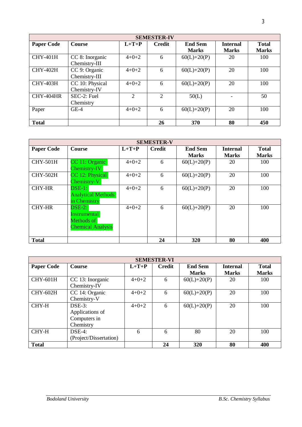|                   | <b>SEMESTER-IV</b>               |                             |                             |                                |                                 |                              |  |  |
|-------------------|----------------------------------|-----------------------------|-----------------------------|--------------------------------|---------------------------------|------------------------------|--|--|
| <b>Paper Code</b> | <b>Course</b>                    | $L+T+P$                     | <b>Credit</b>               | <b>End Sem</b><br><b>Marks</b> | <b>Internal</b><br><b>Marks</b> | <b>Total</b><br><b>Marks</b> |  |  |
| <b>CHY-401H</b>   | CC 8: Inorganic<br>Chemistry-III | $4+0+2$                     | 6                           | $60(L)+20(P)$                  | 20                              | 100                          |  |  |
| <b>CHY-402H</b>   | CC 9: Organic<br>Chemistry-III   | $4+0+2$                     | 6                           | $60(L)+20(P)$                  | 20                              | 100                          |  |  |
| <b>CHY-403H</b>   | CC 10: Physical<br>Chemistry-IV  | $4+0+2$                     | 6                           | $60(L)+20(P)$                  | 20                              | 100                          |  |  |
| CHY-404HR         | SEC-2: Fuel<br>Chemistry         | $\mathcal{D}_{\mathcal{L}}$ | $\mathcal{D}_{\mathcal{A}}$ | 50(L)                          |                                 | 50                           |  |  |
| Paper             | $GE-4$                           | $4+0+2$                     | 6                           | $60(L)+20(P)$                  | 20                              | 100                          |  |  |
| <b>Total</b>      |                                  |                             | 26                          | 370                            | 80                              | 450                          |  |  |

|                   | <b>SEMESTER-V</b>                                                                     |             |               |                                |                                 |                              |  |  |
|-------------------|---------------------------------------------------------------------------------------|-------------|---------------|--------------------------------|---------------------------------|------------------------------|--|--|
| <b>Paper Code</b> | <b>Course</b>                                                                         | $L+T+P$     | <b>Credit</b> | <b>End Sem</b><br><b>Marks</b> | <b>Internal</b><br><b>Marks</b> | <b>Total</b><br><b>Marks</b> |  |  |
| <b>CHY-501H</b>   | CC 11: Organic<br>$Chemistry-IV$                                                      | $4 + 0 + 2$ | 6             | $60(L)+20(P)$                  | 20                              | 100                          |  |  |
| <b>CHY-502H</b>   | CC 12: Physical<br>Chemistry-V                                                        | $4 + 0 + 2$ | 6             | $60(L)+20(P)$                  | 20                              | 100                          |  |  |
| <b>CHY-HR</b>     | $DSE-1:$<br><b>Analytical Methods</b><br>in Chemistry                                 | $4+0+2$     | 6             | $60(L)+20(P)$                  | 20                              | 100                          |  |  |
| <b>CHY-HR</b>     | $\overline{\text{DSE-2}}$ :<br>Instrumental<br>Methods of<br><b>Chemical Analysis</b> | $4 + 0 + 2$ | 6             | $60(L)+20(P)$                  | 20                              | 100                          |  |  |
| <b>Total</b>      |                                                                                       |             | 24            | 320                            | 80                              | 400                          |  |  |

| <b>SEMESTER-VI</b> |                                                           |             |               |                                |                                 |                              |  |
|--------------------|-----------------------------------------------------------|-------------|---------------|--------------------------------|---------------------------------|------------------------------|--|
| <b>Paper Code</b>  | <b>Course</b>                                             | $L+T+P$     | <b>Credit</b> | <b>End Sem</b><br><b>Marks</b> | <b>Internal</b><br><b>Marks</b> | <b>Total</b><br><b>Marks</b> |  |
| <b>CHY-601H</b>    | CC 13: Inorganic<br>Chemistry-IV                          | $4+0+2$     | 6             | $60(L)+20(P)$                  | 20                              | 100                          |  |
| <b>CHY-602H</b>    | CC 14: Organic<br>Chemistry-V                             | $4+0+2$     | 6             | $60(L)+20(P)$                  | 20                              | 100                          |  |
| CHY-H              | $DSE-3$ :<br>Applications of<br>Computers in<br>Chemistry | $4 + 0 + 2$ | 6             | $60(L)+20(P)$                  | 20                              | 100                          |  |
| CHY-H              | $DSE-4:$<br>(Project/Dissertation)                        | 6           | 6             | 80                             | 20                              | 100                          |  |
| <b>Total</b>       |                                                           |             | 24            | 320                            | 80                              | 400                          |  |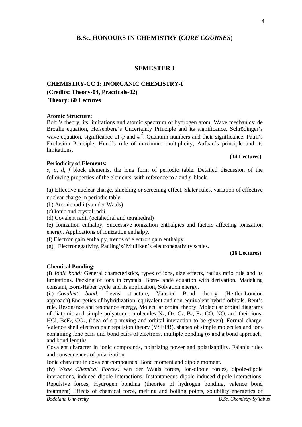# **B.Sc. HONOURS IN CHEMISTRY (***CORE COURSES***)**

#### **SEMESTER I**

# **CHEMISTRY-CC 1: INORGANIC CHEMISTRY-I (Credits: Theory-04, Practicals-02) Theory: 60 Lectures**

#### **Atomic Structure:**

Bohr's theory, its limitations and atomic spectrum of hydrogen atom. Wave mechanics: de Broglie equation, Heisenberg's Uncertainty Principle and its significance, Schrödinger's wave equation, significance of  $\psi$  and  $\psi^2$ . Quantum numbers and their significance. Pauli's Exclusion Principle, Hund's rule of maximum multiplicity, Aufbau's principle and its limitations.

#### **(14 Lectures)**

#### **Periodicity of Elements:**

*s*, *p*, *d*, *f* block elements, the long form of periodic table. Detailed discussion of the following properties of the elements, with reference to *s* and *p*-block.

(a) Effective nuclear charge, shielding or screening effect, Slater rules, variation of effective nuclear charge in periodic table.

- (b) Atomic radii (van der Waals)
- (c) Ionic and crystal radii.
- (d) Covalent radii (octahedral and tetrahedral)

(e) Ionization enthalpy, Successive ionization enthalpies and factors affecting ionization energy. Applications of ionization enthalpy.

- (f) Electron gain enthalpy, trends of electron gain enthalpy.
- (g) Electronegativity, Pauling's/ Mulliken's electronegativity scales.

#### **(16 Lectures)**

#### **Chemical Bonding:**

(i) *Ionic bond:* General characteristics, types of ions, size effects, radius ratio rule and its limitations. Packing of ions in crystals. Born-Landé equation with derivation. Madelung constant, Born-Haber cycle and its application, Solvation energy.

(ii) *Covalent bond:* Lewis structure, Valence Bond theory (Heitler-London approach).Energetics of hybridization, equivalent and non-equivalent hybrid orbitals. Bent's rule, Resonance and resonance energy, Molecular orbital theory. Molecular orbital diagrams of diatomic and simple polyatomic molecules  $N_2$ ,  $O_2$ ,  $C_2$ ,  $B_2$ ,  $F_2$ ,  $CO$ ,  $NO$ , and their ions; HCl, BeF2, CO2, (idea of s-p mixing and orbital interaction to be given). Formal charge, Valence shell electron pair repulsion theory (VSEPR), shapes of simple molecules and ions containing lone pairs and bond pairs of electrons, multiple bonding ( $\sigma$  and  $\pi$  bond approach) and bond lengths.

Covalent character in ionic compounds, polarizing power and polarizability. Fajan's rules and consequences of polarization.

Ionic character in covalent compounds: Bond moment and dipole moment.

(iv) *Weak Chemical Forces:* van der Waals forces, ion-dipole forces, dipole-dipole interactions, induced dipole interactions, Instantaneous dipole-induced dipole interactions. Repulsive forces, Hydrogen bonding (theories of hydrogen bonding, valence bond treatment) Effects of chemical force, melting and boiling points, solubility energetics of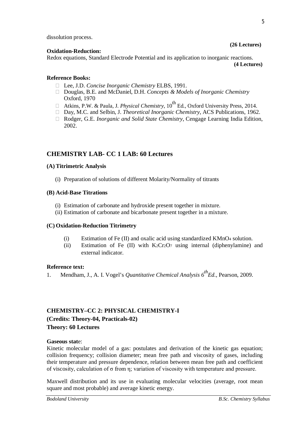dissolution process.

#### **Oxidation-Reduction:**

Redox equations, Standard Electrode Potential and its application to inorganic reactions.

**(4 Lectures)**

**(26 Lectures)**

#### **Reference Books:**

- Lee, J.D. *Concise Inorganic Chemistry* ELBS, 1991.
- Douglas, B.E. and McDaniel, D.H. *Concepts & Models of Inorganic Chemistry* Oxford, 1970
- □ Atkins, P.W. & Paula, J. *Physical Chemistry*, 10<sup>th</sup> Ed., Oxford University Press, 2014.
- Day, M.C. and Selbin, J. *Theoretical Inorganic Chemistry*, ACS Publications, 1962.
- □ Rodger, G.E. *Inorganic and Solid State Chemistry*, Cengage Learning India Edition, 2002.

# **CHEMISTRY LAB- CC 1 LAB: 60 Lectures**

#### **(A) Titrimetric Analysis**

(i) Preparation of solutions of different Molarity/Normality of titrants

#### **(B) Acid-Base Titrations**

- (i) Estimation of carbonate and hydroxide present together in mixture.
- (ii) Estimation of carbonate and bicarbonate present together in a mixture.

# **(C) Oxidation-Reduction Titrimetry**

- (i) Estimation of Fe  $(II)$  and oxalic acid using standardized KMnO<sub>4</sub> solution.
- (ii) Estimation of Fe  $(II)$  with K<sub>2</sub>Cr<sub>2</sub>O<sub>7</sub> using internal (diphenylamine) and external indicator.

#### **Reference text:**

1. Mendham, J., A. I. Vogel's *Quantitative Chemical Analysis 6thEd.,* Pearson, 2009.

# **CHEMISTRY–CC 2: PHYSICAL CHEMISTRY-I**

**(Credits: Theory-04, Practicals-02)**

#### **Theory: 60 Lectures**

#### **Gaseous stat**e:

Kinetic molecular model of a gas: postulates and derivation of the kinetic gas equation; collision frequency; collision diameter; mean free path and viscosity of gases, including their temperature and pressure dependence, relation between mean free path and coefficient of viscosity, calculation of σ from η; variation of viscosity with temperature and pressure.

Maxwell distribution and its use in evaluating molecular velocities (average, root mean square and most probable) and average kinetic energy.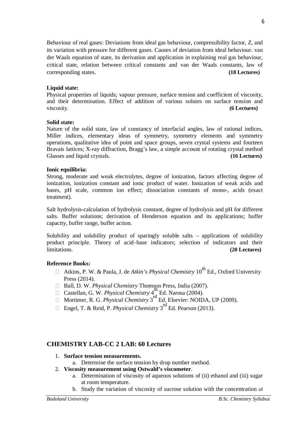Behaviour of real gases: Deviations from ideal gas behaviour, compressibility factor, *Z*, and its variation with pressure for different gases. Causes of deviation from ideal behaviour. van der Waals equation of state, its derivation and application in explaining real gas behaviour, critical state, relation between critical constants and van der Waals constants, law of corresponding states. **(18 Lectures)**

#### **Liquid state:**

Physical properties of liquids; vapour pressure, surface tension and coefficient of viscosity, and their determination. Effect of addition of various solutes on surface tension and viscosity. **(6 Lectures)**

#### **Solid state:**

Nature of the solid state, law of constancy of interfacial angles, law of rational indices, Miller indices, elementary ideas of symmetry, symmetry elements and symmetry operations, qualitative idea of point and space groups, seven crystal systems and fourteen Bravais lattices; X-ray diffraction, Bragg's law, a simple account of rotating crystal method Glasses and liquid crystals. **(16 Lectures)** 

### **Ionic equilibria:**

Strong, moderate and weak electrolytes, degree of ionization, factors affecting degree of ionization, ionization constant and ionic product of water. Ionization of weak acids and bases, pH scale, common ion effect; dissociation constants of mono-, acids (exact treatment).

Salt hydrolysis-calculation of hydrolysis constant, degree of hydrolysis and pH for different salts. Buffer solutions; derivation of Henderson equation and its applications; buffer capacity, buffer range, buffer action.

Solubility and solubility product of sparingly soluble salts – applications of solubility product principle. Theory of acid–base indicators; selection of indicators and their limitations. **(20 Lectures)**

# **Reference Books:**

- Atkins, P. W. & Paula, J. de *Atkin's Physical Chemistry*  $10^{th}$  Ed., Oxford University Press (2014).
- □ Ball, D. W. *Physical Chemistry* Thomson Press, India (2007).
- $\Box$  Castellan, G. W. *Physical Chemistry* 4<sup>th</sup> Ed. Narosa (2004).
- Mortimer, R. G. *Physical Chemistry* 3 rd Ed. Elsevier: NOIDA, UP (2009).
- □ Engel, T. & Reid, P. *Physical Chemistry* 3<sup>rd</sup> Ed. Pearson (2013).

# **CHEMISTRY LAB-CC 2 LAB: 60 Lectures**

- 1. **Surface tension measurements.** 
	- a. Determine the surface tension by drop number method.
- 2. **Viscosity measurement using Ostwald's viscometer**.
	- a. Determination of viscosity of aqueous solutions of (ii) ethanol and (iii) sugar at room temperature.
	- b. Study the variation of viscosity of sucrose solution with the concentration of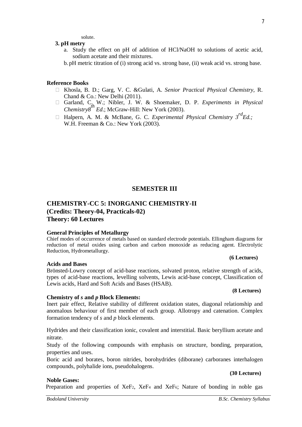**Noble Gases:**

solute. **3. pH metry** 

- a. Study the effect on pH of addition of HCl/NaOH to solutions of acetic acid, sodium acetate and their mixtures.
- b. pH metric titration of (i) strong acid vs. strong base, (ii) weak acid vs. strong base.

#### **Reference Books**

- Khosla, B. D.; Garg, V. C. &Gulati, A. *Senior Practical Physical Chemistry,* R. Chand & Co.: New Delhi (2011).
- Garland, C. W.; Nibler, J. W. & Shoemaker, D. P. *Experiments in Physical Chemistry8th Ed*.; McGraw-Hill: New York (2003).
- □ Halpern, A. M. & McBane, G. C. *Experimental Physical Chemistry*  $3^{rd}Ed$ ; W.H. Freeman & Co.: New York (2003).

# **SEMESTER III**

# **CHEMISTRY-CC 5: INORGANIC CHEMISTRY-II (Credits: Theory-04, Practicals-02) Theory: 60 Lectures**

#### **General Principles of Metallurgy**

**Chemistry of** *s* **and** *p* **Block Elements:**

Chief modes of occurrence of metals based on standard electrode potentials. Ellingham diagrams for reduction of metal oxides using carbon and carbon monoxide as reducing agent. Electrolytic Reduction, Hydrometallurgy.

#### **Acids and Bases**

Brönsted-Lowry concept of acid-base reactions, solvated proton, relative strength of acids, types of acid-base reactions, levelling solvents, Lewis acid-base concept, Classification of Lewis acids, Hard and Soft Acids and Bases (HSAB).

# **(8 Lectures)**

**(6 Lectures)**

Inert pair effect, Relative stability of different oxidation states, diagonal relationship and anomalous behaviour of first member of each group. Allotropy and catenation. Complex formation tendency of *s* and *p* block elements.

Hydrides and their classification ionic, covalent and interstitial. Basic beryllium acetate and nitrate.

Study of the following compounds with emphasis on structure, bonding, preparation, properties and uses.

Boric acid and borates, boron nitrides, borohydrides (diborane) carboranes interhalogen compounds, polyhalide ions, pseudohalogens.

Preparation and properties of XeF<sub>2</sub>, XeF<sub>4</sub> and XeF<sub>6</sub>; Nature of bonding in noble gas

#### **(30 Lectures)**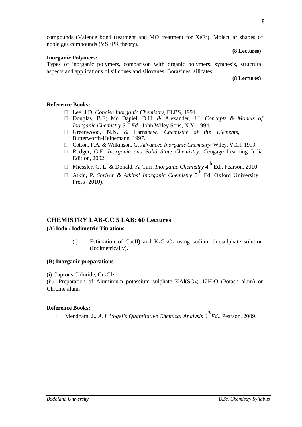compounds (Valence bond treatment and MO treatment for XeF2). Molecular shapes of noble gas compounds (VSEPR theory).

#### **Inorganic Polymers:**

**(8 Lectures)**

Types of inorganic polymers, comparison with organic polymers, synthesis, structural aspects and applications of silicones and siloxanes. Borazines, silicates.

#### **(8 Lectures)**

#### **Reference Books:**

- Lee, J.D. *Concise Inorganic Chemistry*, ELBS, 1991.
- Douglas, B.E; Mc Daniel, D.H. & Alexander, J.J. *Concepts & Models of Inorganic Chemistry 3rd Ed.*, John Wiley Sons, N.Y. 1994.
- Greenwood, N.N. & Earnshaw. *Chemistry of the Elements*, Butterworth-Heinemann. 1997.
- □ Cotton, F.A. & Wilkinson, G. *Advanced Inorganic Chemistry*, Wiley, VCH, 1999.
- Rodger, G.E. *Inorganic and Solid State Chemistry*, Cengage Learning India Edition, 2002.
- □ Miessler, G. L. & Donald, A. Tarr. *Inorganic Chemistry* 4<sup>th</sup> Ed., Pearson, 2010.
- □ Atkin, P. *Shriver & Atkins' Inorganic Chemistry* 5<sup>th</sup> Ed. Oxford University Press (2010).

# **CHEMISTRY LAB-CC 5 LAB: 60 Lectures**

#### **(A)Iodo / Iodimetric Titrations**

(i) Estimation of Cu(II) and K<sub>2</sub>Cr<sub>2</sub>O<sub>7</sub> using sodium thiosulphate solution (Iodimetrically).

#### **(B) Inorganic preparations**

#### (i) Cuprous Chloride, Cu2Cl<sup>2</sup>

(ii) Preparation of Aluminium potassium sulphate KAl(SO4)2.12H2O (Potash alum) or Chrome alum.

#### **Reference Books:**

Mendham, J., *A. I. Vogel's Quantitative Chemical Analysis 6thEd.,* Pearson, 2009.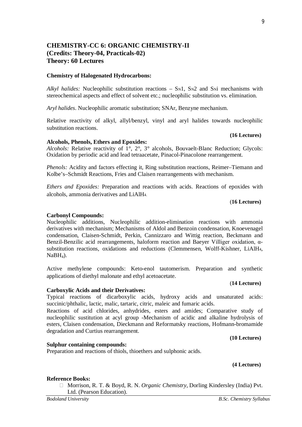# **CHEMISTRY-CC 6: ORGANIC CHEMISTRY-II (Credits: Theory-04, Practicals-02) Theory: 60 Lectures**

#### **Chemistry of Halogenated Hydrocarbons:**

*Alkyl halides:* Nucleophilic substitution reactions – SN1, SN2 and SNi mechanisms with stereochemical aspects and effect of solvent etc.; nucleophilic substitution vs. elimination.

*Aryl halides*. Nucleophilic aromatic substitution; SNAr, Benzyne mechanism.

Relative reactivity of alkyl, allyl/benzyl, vinyl and aryl halides towards nucleophilic substitution reactions.

#### **Alcohols, Phenols, Ethers and Epoxides:**

Alcohols: Relative reactivity of 1°, 2°, 3° alcohols, Bouvaelt-Blanc Reduction; Glycols: Oxidation by periodic acid and lead tetraacetate, Pinacol-Pinacolone rearrangement.

*Phenols:* Acidity and factors effecting it, Ring substitution reactions, Reimer–Tiemann and Kolbe's–Schmidt Reactions, Fries and Claisen rearrangements with mechanism.

*Ethers and Epoxides:* Preparation and reactions with acids. Reactions of epoxides with alcohols, ammonia derivatives and LiAlH4.

#### (**16 Lectures)**

**(16 Lectures)**

#### **Carbonyl Compounds:**

Nucleophilic additions, Nucleophilic addition-elimination reactions with ammonia derivatives with mechanism; Mechanisms of Aldol and Benzoin condensation, Knoevenagel condensation, Claisen-Schmidt, Perkin, Cannizzaro and Wittig reaction, Beckmann and Benzil-Benzilic acid rearrangements, haloform reaction and Baeyer Villiger oxidation, αsubstitution reactions, oxidations and reductions (Clemmensen, Wolff-Kishner, LiAlH4, NaBH<sub>4</sub>).

Active methylene compounds: Keto-enol tautomerism. Preparation and synthetic applications of diethyl malonate and ethyl acetoacetate.

#### **Carboxylic Acids and their Derivatives:**

Typical reactions of dicarboxylic acids, hydroxy acids and unsaturated acids: succinic/phthalic, lactic, malic, tartaric, citric, maleic and fumaric acids.

Reactions of acid chlorides, anhydrides, esters and amides; Comparative study of nucleophilic sustitution at acyl group -Mechanism of acidic and alkaline hydrolysis of esters, Claisen condensation, Dieckmann and Reformatsky reactions, Hofmann-bromamide degradation and Curtius rearrangement.

#### **Sulphur containing compounds:**

Preparation and reactions of thiols, thioethers and sulphonic acids.

#### **(4 Lectures)**

#### **Reference Books:**

□ Morrison, R. T. & Boyd, R. N. *Organic Chemistry*, Dorling Kindersley (India) Pvt. Ltd. (Pearson Education).

# **(10 Lectures)**

(**14 Lectures)**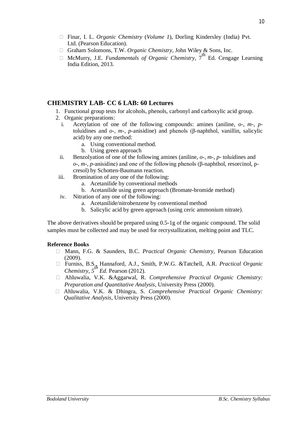- Finar, I. L. *Organic Chemistry* (*Volume 1*), Dorling Kindersley (India) Pvt. Ltd. (Pearson Education).
- Graham Solomons, T.W. *Organic Chemistry,* John Wiley & Sons, Inc.
- $\Box$  McMurry, J.E. *Fundamentals of Organic Chemistry*,  $7<sup>th</sup>$  Ed. Cengage Learning India Edition, 2013.

# **CHEMISTRY LAB- CC 6 LAB: 60 Lectures**

- 1. Functional group tests for alcohols, phenols, carbonyl and carboxylic acid group.
- 2. Organic preparations:
	- i. Acetylation of one of the following compounds: amines (aniline, *o*-, *m*-, *p*toluidines and *o*-, *m*-, *p*-anisidine) and phenols (β-naphthol, vanillin, salicylic acid) by any one method:
		- a. Using conventional method.
		- b. Using green approach
	- ii. Benzolyation of one of the following amines (aniline, *o*-, *m*-, *p* toluidines and *o*-, *m*-, *p*-anisidine) and one of the following phenols (β-naphthol, resorcinol, pcresol) by Schotten-Baumann reaction.
- iii. Bromination of any one of the following:
	- a. Acetanilide by conventional methods
	- b. Acetanilide using green approach (Bromate-bromide method)
- iv. Nitration of any one of the following:
	- a. Acetanilide/nitrobenzene by conventional method
	- b. Salicylic acid by green approach (using ceric ammonium nitrate).

The above derivatives should be prepared using 0.5-1g of the organic compound. The solid samples must be collected and may be used for recrystallization, melting point and TLC.

#### **Reference Books**

- Mann, F.G. & Saunders, B.C. *Practical Organic Chemistry,* Pearson Education (2009).
- Furniss, B.S., Hannaford, A.J., Smith, P.W.G. &Tatchell, A.R. *Practical Organic Chemistry,*  $5^{th}$  *Ed.* Pearson (2012).
- Ahluwalia, V.K. &Aggarwal, R. *Comprehensive Practical Organic Chemistry: Preparation and Quantitative Analysis,* University Press (2000).
- Ahluwalia, V.K. & Dhingra, S. *Comprehensive Practical Organic Chemistry: Qualitative Analysis,* University Press (2000).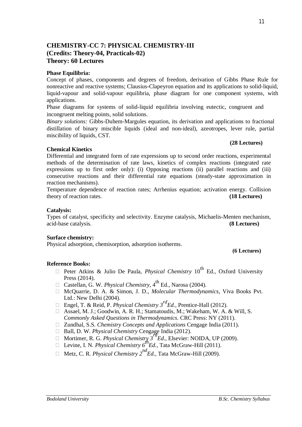# **CHEMISTRY-CC 7: PHYSICAL CHEMISTRY-III (Credits: Theory-04, Practicals-02) Theory: 60 Lectures**

## **Phase Equilibria:**

Concept of phases, components and degrees of freedom, derivation of Gibbs Phase Rule for nonreactive and reactive systems; Clausius-Clapeyron equation and its applications to solid-liquid, liquid-vapour and solid-vapour equilibria, phase diagram for one component systems, with applications.

Phase diagrams for systems of solid-liquid equilibria involving eutectic, congruent and incongruent melting points, solid solutions.

*Binary solutions:* Gibbs-Duhem-Margules equation, its derivation and applications to fractional distillation of binary miscible liquids (ideal and non-ideal), azeotropes, lever rule, partial miscibility of liquids, CST.

### **Chemical Kinetics**

Differential and integrated form of rate expressions up to second order reactions, experimental methods of the determination of rate laws, kinetics of complex reactions (integrated rate expressions up to first order only): (i) Opposing reactions (ii) parallel reactions and (iii) consecutive reactions and their differential rate equations (steady-state approximation in reaction mechanisms).

Temperature dependence of reaction rates; Arrhenius equation; activation energy. Collision theory of reaction rates. **(18 Lectures)**

## **Catalysis:**

Types of catalyst, specificity and selectivity. Enzyme catalysis, Michaelis-Menten mechanism, acid-base catalysis. **(8 Lectures)**

#### **Surface chemistry:**

Physical adsorption, chemisorption, adsorption isotherms.

#### **(6 Lectures)**

#### **Reference Books:**

- $\Box$  Peter Atkins & Julio De Paula, *Physical Chemistry* 10<sup>th</sup> Ed., Oxford University Press (2014).
- □ Castellan, G. W. *Physical Chemistry*, 4<sup>th</sup> Ed., Narosa (2004).
- □ McQuarrie, D. A. & Simon, J. D., *Molecular Thermodynamics*, Viva Books Pvt. Ltd.: New Delhi (2004).
- Engel, T. & Reid, P. *Physical Chemistry 3rdEd.,* Prentice-Hall (2012).
- Assael, M. J.; Goodwin, A. R. H.; Stamatoudis, M.; Wakeham, W. A. & Will, S. *Commonly Asked Questions in Thermodynamics.* CRC Press: NY (2011).
- Zundhal, S.S*. Chemistry Concepts and Applications* Cengage India (2011).
- □ Ball, D. W. *Physical Chemistry* Cengage India (2012).
- Mortimer, R. G. *Physical Chemistry 3rdEd.,* Elsevier: NOIDA, UP (2009).
- Levine, I. N. *Physical Chemistry*  $6^{th}$ *Ed.*, Tata McGraw-Hill (2011).
- Metz, C. R*. Physical Chemistry 2ndEd.,* Tata McGraw-Hill (2009).

#### **(28 Lectures)**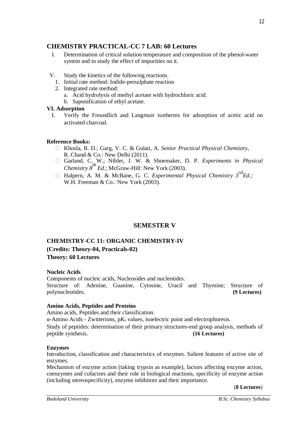# **CHEMISTRY PRACTICAL-CC 7 LAB: 60 Lectures**

- I. Determination of critical solution temperature and composition of the phenol-water system and to study the effect of impurities on it.
- V. Study the kinetics of the following reactions.
	- 1. Initial rate method: Iodide-persulphate reaction
	- 2. Integrated rate method:
		- a. Acid hydrolysis of methyl acetate with hydrochloric acid.
		- b. Saponification of ethyl acetate.

#### **VI. Adsorption**

I. Verify the Freundlich and Langmuir isotherms for adsorption of acetic acid on activated charcoal.

#### **Reference Books:**

- Khosla, B. D.; Garg, V. C. & Gulati, A. *Senior Practical Physical Chemistry,* R. Chand & Co.: New Delhi (2011).
- Garland, C. W.; Nibler, J. W. & Shoemaker, D. P. *Experiments in Physical Chemistry 8 th Ed.*; McGraw-Hill: New York (2003).
- Halpern, A. M. & McBane, G. C. *Experimental Physical Chemistry 3rdEd.;* W.H. Freeman & Co.: New York (2003).

# **SEMESTER V**

# **CHEMISTRY-CC 11: ORGANIC CHEMISTRY-IV (Credits: Theory-04, Practicals-02) Theory: 60 Lectures**

#### **Nucleic Acids**

Components of nucleic acids, Nucleosides and nucleotides. Structure of: Adenine, Guanine, Cytosine, Uracil and Thymine; Structure of polynucleotides. **(9 Lectures)**

#### **Amino Acids, Peptides and Proteins**

Amino acids, Peptides and their classification.

α-Amino Acids - Zwitterions, p*K*<sup>a</sup> values, isoelectric point and electrophoresis.

Study of peptides: determination of their primary structures-end group analysis, methods of peptide synthesis. **(16 Lectures)**

#### **Enzymes**

Introduction, classification and characteristics of enzymes. Salient features of active site of enzymes.

Mechanism of enzyme action (taking trypsin as example), factors affecting enzyme action, coenzymes and cofactors and their role in biological reactions, specificity of enzyme action (including stereospecificity), enzyme inhibitors and their importance.

(**8 Lectures**)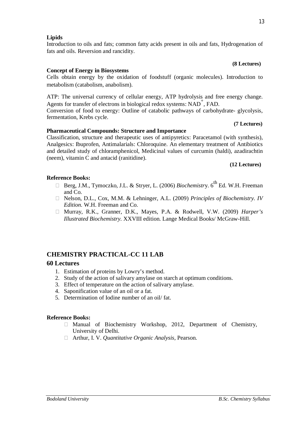**(8 Lectures)**

#### **Concept of Energy in Biosystems**

fats and oils. Reversion and rancidity.

**Lipids**

Cells obtain energy by the oxidation of foodstuff (organic molecules). Introduction to metabolism (catabolism, anabolism).

Introduction to oils and fats; common fatty acids present in oils and fats, Hydrogenation of

ATP: The universal currency of cellular energy, ATP hydrolysis and free energy change. Agents for transfer of electrons in biological redox systems:  $NAD^+$ , FAD.

Conversion of food to energy: Outline of catabolic pathways of carbohydrate- glycolysis, fermentation, Krebs cycle.

#### **Pharmaceutical Compounds: Structure and Importance**

Classification, structure and therapeutic uses of antipyretics: Paracetamol (with synthesis), Analgesics: Ibuprofen, Antimalarials: Chloroquine. An elementary treatment of Antibiotics and detailed study of chloramphenicol, Medicinal values of curcumin (haldi), azadirachtin (neem), vitamin C and antacid (ranitidine).

#### **(12 Lectures)**

**(7 Lectures)**

### **Reference Books:**

- □ Berg, J.M., Tymoczko, J.L. & Stryer, L. (2006) *Biochemistry*. 6<sup>th</sup> Ed. W.H. Freeman and Co.
- Nelson, D.L., Cox, M.M. & Lehninger, A.L. (2009) *Principles of Biochemistry. IV Edition.* W.H. Freeman and Co.
- Murray, R.K., Granner, D.K., Mayes, P.A. & Rodwell, V.W. (2009) *Harper's Illustrated Biochemistry.* XXVIII edition. Lange Medical Books/ McGraw-Hill.

# **CHEMISTRY PRACTICAL-CC 11 LAB**

#### **60 Lectures**

- 1. Estimation of proteins by Lowry's method.
- 2. Study of the action of salivary amylase on starch at optimum conditions.
- 3. Effect of temperature on the action of salivary amylase.
- 4. Saponification value of an oil or a fat.
- 5. Determination of Iodine number of an oil/ fat.

#### **Reference Books:**

- $\Box$  Manual of Biochemistry Workshop, 2012, Department of Chemistry, University of Delhi.
- Arthur, I. V. *Quantitative Organic Analysis,* Pearson.

# *Bodoland University B.Sc. Chemistry Syllabus*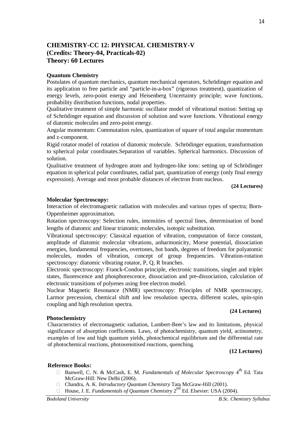# **CHEMISTRY-CC 12: PHYSICAL CHEMISTRY-V (Credits: Theory-04, Practicals-02) Theory: 60 Lectures**

#### **Quantum Chemistry**

Postulates of quantum mechanics, quantum mechanical operators, Schrödinger equation and its application to free particle and "particle-in-a-box" (rigorous treatment), quantization of energy levels, zero-point energy and Heisenberg Uncertainty principle; wave functions, probability distribution functions, nodal properties.

Qualitative treatment of simple harmonic oscillator model of vibrational motion: Setting up of Schrödinger equation and discussion of solution and wave functions. Vibrational energy of diatomic molecules and zero-point energy.

Angular momentum: Commutation rules, quantization of square of total angular momentum and z-component.

Rigid rotator model of rotation of diatomic molecule. Schrödinger equation, transformation to spherical polar coordinates.Separation of variables. Spherical harmonics. Discussion of solution.

Qualitative treatment of hydrogen atom and hydrogen-like ions: setting up of Schrödinger equation in spherical polar coordinates, radial part, quantization of energy (only final energy expression). Average and most probable distances of electron from nucleus.

**(24 Lectures)**

#### **Molecular Spectroscopy:**

Interaction of electromagnetic radiation with molecules and various types of spectra; Born-Oppenheimer approximation.

Rotation spectroscopy: Selection rules, intensities of spectral lines, determination of bond lengths of diatomic and linear triatomic molecules, isotopic substitution.

Vibrational spectroscopy: Classical equation of vibration, computation of force constant, amplitude of diatomic molecular vibrations, anharmonicity, Morse potential, dissociation energies, fundamental frequencies, overtones, hot bands, degrees of freedom for polyatomic molecules, modes of vibration, concept of group frequencies. Vibration-rotation spectroscopy: diatomic vibrating rotator, P, Q, R branches.

Electronic spectroscopy: Franck-Condon principle, electronic transitions, singlet and triplet states, fluorescence and phosphorescence, dissociation and pre-dissociation, calculation of electronic transitions of polyenes using free electron model.

Nuclear Magnetic Resonance (NMR) spectroscopy: Principles of NMR spectroscopy, Larmor precession, chemical shift and low resolution spectra, different scales, spin-spin coupling and high resolution spectra.

#### **(24 Lectures)**

#### **Photochemistry**

Characteristics of electromagnetic radiation, Lambert-Beer's law and its limitations, physical significance of absorption coefficients. Laws, of photochemistry, quantum yield, actinometry, examples of low and high quantum yields, photochemical equilibrium and the differential rate of photochemical reactions, photosensitised reactions, quenching.

**(12 Lectures)**

#### **Reference Books:**

- □ Banwell, C. N. & McCash, E. M. *Fundamentals of Molecular Spectroscopy* 4<sup>th</sup> Ed. Tata McGraw-Hill: New Delhi (2006).
- Chandra, A. K. *Introductory Quantum Chemistry* Tata McGraw-Hill (2001).
- **House, J. E.** *Fundamentals of Quantum Chemistry* **2<sup>nd</sup> Ed. Elsevier: USA (2004).**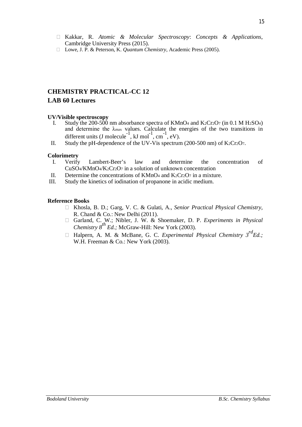- Kakkar, R. *Atomic & Molecular Spectroscopy*: *Concepts & Applications*, Cambridge University Press (2015).
- Lowe, J. P. & Peterson, K. *Quantum Chemistry*, Academic Press (2005).

# **CHEMISTRY PRACTICAL-CC 12 LAB 60 Lectures**

#### **UV/Visible spectroscopy**

- I. Study the 200-500 nm absorbance spectra of KMnO<sub>4</sub> and K<sub>2</sub>Cr<sub>2</sub>O<sub>7</sub> (in 0.1 M H<sub>2</sub>SO<sub>4</sub>) and determine the  $\lambda_{\text{max}}$  values. Calculate the energies of the two transitions in different units (J molecule<sup>-1</sup>, kJ mol<sup>-1</sup>, cm<sup>-1</sup>, eV).
- II. Study the pH-dependence of the UV-Vis spectrum (200-500 nm) of  $K_2Cr_2O_7$ .

# **Colorimetry**

- I. Verify Lambert-Beer's law and determine the concentration of CuSO4/KMnO4/K2Cr2O<sup>7</sup> in a solution of unknown concentration
- II. Determine the concentrations of  $KMnO_4$  and  $K_2Cr_2O_7$  in a mixture.
- III. Study the kinetics of iodination of propanone in acidic medium.

#### **Reference Books**

- Khosla, B. D.; Garg, V. C. & Gulati, A., *Senior Practical Physical Chemistry,* R. Chand & Co.: New Delhi (2011).
- Garland, C. W.; Nibler, J. W. & Shoemaker, D. P. *Experiments in Physical Chemistry 8th Ed.;* McGraw-Hill: New York (2003).
- □ Halpern, A. M. & McBane, G. C. *Experimental Physical Chemistry*  $3^{rd} Ed$ *:* W.H. Freeman & Co.: New York (2003).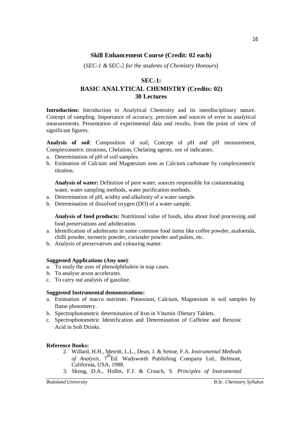# **Skill Enhancement Course (Credit: 02 each)**

(*SEC-1 & SEC-2 for the students of Chemistry Honours*)

# **SEC-1: BASIC ANALYTICAL CHEMISTRY (Credits: 02) 30 Lectures**

**Introduction:** Introduction to Analytical Chemistry and its interdisciplinary nature. Concept of sampling. Importance of accuracy, precision and sources of error in analytical measurements. Presentation of experimental data and results, from the point of view of significant figures.

**Analysis of soil**: Composition of soil, Concept of pH and pH measurement, Complexometric titrations, Chelation, Chelating agents, use of indicators.

- a. Determination of pH of soil samples.
- b. Estimation of Calcium and Magnesium ions as Calcium carbonate by complexometric titration.

**Analysis of water:** Definition of pure water, sources responsible for contaminating water, water sampling methods, water purification methods.

- a. Determination of pH, acidity and alkalinity of a water sample.
- b. Determination of dissolved oxygen (DO) of a water sample.

**Analysis of food products:** Nutritional value of foods, idea about food processing and food preservations and adulteration.

- a. Identification of adulterants in some common food items like coffee powder, asafoetida, chilli powder, turmeric powder, coriander powder and pulses, etc.
- b. Analysis of preservatives and colouring matter.

#### **Suggested Applications (Any one)**:

- a. To study the uses of phenolphthalein in trap cases.
- b. To analyse arson accelerants.
- c. To carry out analysis of gasoline.

#### **Suggested Instrumental demonstrations:**

- a. Estimation of macro nutrients: Potassium, Calcium, Magnesium in soil samples by flame photometry.
- b. Spectrophotometric determination of Iron in Vitamin /Dietary Tablets.
- c. Spectrophotometric Identification and Determination of Caffeine and Benzoic Acid in Soft Drinks.

#### **Reference Books:**

- 2. Willard, H.H., Merritt, L.L., Dean, J. & Settoe, F.A. *Instrumental Methods*  of *Analysis*, 7<sup>th</sup>Ed. Wadsworth Publishing Company Ltd., Belmont, California, USA, 1988.
- 3. Skoog, D.A., Holler, F.J. & Crouch, S. *Principles of Instrumental*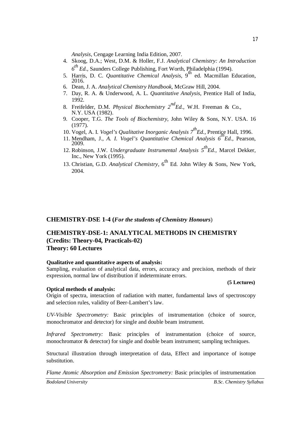*Analysis*, Cengage Learning India Edition, 2007.

- 4. Skoog, D.A.; West, D.M. & Holler, F.J. *Analytical Chemistry: An Introduction 6 th Ed.,* Saunders College Publishing, Fort Worth, Philadelphia (1994).
- 5. Harris, D. C. *Quantitative Chemical Analysis*, 9th ed. Macmillan Education, 2016.
- 6. Dean, J. A. *Analytical Chemistry Handbook*, McGraw Hill, 2004.
- 7. Day, R. A. & Underwood, A. L. *Quantitative Analysis*, Prentice Hall of India, 1992.
- 8. Freifelder, D.M. *Physical Biochemistry 2ndEd.,* W.H. Freeman & Co., N.Y. USA (1982).
- 9. Cooper, T.G. *The Tools of Biochemistry,* John Wiley & Sons, N.Y. USA. 16 (1977).
- 10. Vogel, A. I. *Vogel's Qualitative Inorganic Analysis 7thEd.,* Prentice Hall, 1996.
- 11. Mendham, J., *A. I. Vogel's Quantitative Chemical Analysis 6thEd.,* Pearson, 2009.
- 12. Robinson, J.W. *Undergraduate Instrumental Analysis 5thEd.,* Marcel Dekker, Inc., New York (1995).
- 13. Christian, G.D. *Analytical Chemistry*, 6<sup>th</sup> Ed. John Wiley & Sons, New York, 2004.

#### **CHEMISTRY-DSE 1-4 (***For the students of Chemistry Honours*)

## **CHEMISTRY-DSE-1: ANALYTICAL METHODS IN CHEMISTRY (Credits: Theory-04, Practicals-02) Theory: 60 Lectures**

#### **Qualitative and quantitative aspects of analysis:**

Sampling, evaluation of analytical data, errors, accuracy and precision, methods of their expression, normal law of distribution if indeterminate errors.

#### **Optical methods of analysis:**

Origin of spectra, interaction of radiation with matter, fundamental laws of spectroscopy and selection rules, validity of Beer-Lambert's law.

*UV-Visible Spectrometry:* Basic principles of instrumentation (choice of source, monochromator and detector) for single and double beam instrument.

*Infrared Spectrometry:* Basic principles of instrumentation (choice of source, monochromator & detector) for single and double beam instrument; sampling techniques.

Structural illustration through interpretation of data, Effect and importance of isotope substitution.

*Flame Atomic Absorption and Emission Spectrometry:* Basic principles of instrumentation

**(5 Lectures)**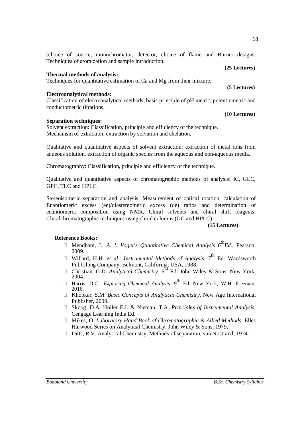(choice of source, monochromator, detector, choice of flame and Burner designs. Techniques of atomization and sample introduction.

#### **Thermal methods of analysis:**

Techniques for quantitative estimation of Ca and Mg from their mixture.

#### **Electroanalytical methods:**

Classification of electroanalytical methods, basic principle of pH metric, potentiometric and conductometric titrations.

#### **Separation techniques:**

Solvent extraction: Classification, principle and efficiency of the technique. Mechanism of extraction: extraction by solvation and chelation.

Qualitative and quantitative aspects of solvent extraction: extraction of metal ions from aqueous solution, extraction of organic species from the aqueous and non-aqueous media.

Chromatography: Classification, principle and efficiency of the technique.

Qualitative and quantitative aspects of chromatographic methods of analysis: IC, GLC, GPC, TLC and HPLC.

Stereoisomeric separation and analysis: Measurement of optical rotation, calculation of Enantiomeric excess (ee)/diastereomeric excess (de) ratios and determination of enantiomeric composition using NMR, Chiral solvents and chiral shift reagents. Chiralchromatographic techniques using chiral columns (GC and HPLC).

#### **(15 Lectures)**

#### **Reference Books:**

- Mendham, J., *A. I. Vogel's Quantitative Chemical Analysis 6thEd.,* Pearson, 2009.
- $\Box$  Willard, H.H. *et al.*: *Instrumental Methods of Analysis*,  $7^{\text{th}}$  Ed. Wardsworth
- Publishing Company, Belmont, California, USA, 1988.<br>□ Christian, G.D. *Analytical Chemistry*, 6<sup>th</sup> Ed. John Wiley & Sons, New York, 2004.
- □ Harris, D.C.: *Exploring Chemical Analysis*, 9<sup>th</sup> Ed. New York, W.H. Freeman, 2016.
- Khopkar, S.M. *Basic Concepts of Analytical Chemistry*. New Age International Publisher, 2009.
- □ Skoog, D.A. Holler F.J. & Nieman, T.A. *Principles of Instrumental Analysis*, Cengage Learning India Ed.
- Mikes, O. *Laboratory Hand Book of Chromatographic & Allied Methods*, Elles Harwood Series on Analytical Chemistry, John Wiley & Sons, 1979.
- □ Ditts, R.V. Analytical Chemistry; Methods of separation, van Nostrand, 1974.

**(10 Lectures)**

**(5 Lectures)**

**(25 Lectures)**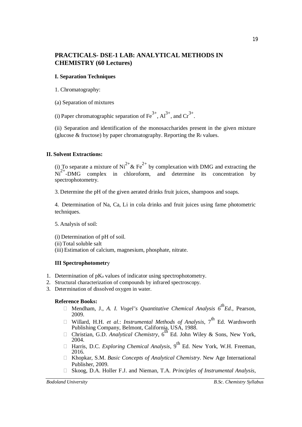# **PRACTICALS- DSE-1 LAB: ANALYTICAL METHODS IN CHEMISTRY (60 Lectures)**

#### **I. Separation Techniques**

1. Chromatography:

(a) Separation of mixtures

(i) Paper chromatographic separation of  $\text{Fe}^{3+}$ ,  $\text{Al}^{3+}$ , and  $\text{Cr}^{3+}$ .

(ii) Separation and identification of the monosaccharides present in the given mixture (glucose  $&$  fructose) by paper chromatography. Reporting the R $f$  values.

#### **II. Solvent Extractions:**

(i) To separate a mixture of  $Ni^{2+}$  & Fe<sup>2+</sup> by complexation with DMG and extracting the  $Ni<sup>2+</sup>-DMG$  complex in chloroform, and determine its concentration by spectrophotometry.

3. Determine the pH of the given aerated drinks fruit juices, shampoos and soaps.

4. Determination of Na, Ca, Li in cola drinks and fruit juices using fame photometric techniques.

5. Analysis of soil:

(i) Determination of pH of soil.

(ii) Total soluble salt

(iii) Estimation of calcium, magnesium, phosphate, nitrate.

#### **III Spectrophotometr**y

- 1. Determination of  $pK_a$  values of indicator using spectrophotometry.
- 2. Structural characterization of compounds by infrared spectroscopy.
- 3. Determination of dissolved oxygen in water.

#### **Reference Books:**

- Mendham, J., *A. I. Vogel's Quantitative Chemical Analysis 6thEd.,* Pearson, 2009.
- Willard, H.H. *et al.*: *Instrumental Methods of Analysis*,  $7^{\text{th}}$  Ed. Wardsworth
- Publishing Company, Belmont, California, USA, 1988.<br>□ Christian, G.D. *Analytical Chemistry*, 6<sup>th</sup> Ed. John Wiley & Sons, New York, 2004.
- Harris, D.C. *Exploring Chemical Analysis*, 9th Ed. New York, W.H. Freeman, 2016.
- Khopkar, S.M. *Basic Concepts of Analytical Chemistry*. New Age International Publisher, 2009.
- □ Skoog, D.A. Holler F.J. and Nieman, T.A. *Principles of Instrumental Analysis*,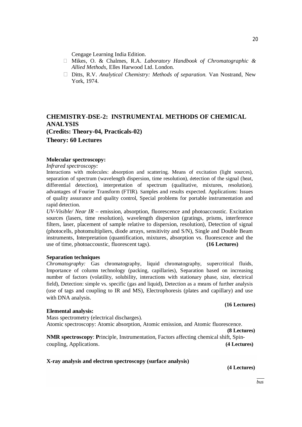Cengage Learning India Edition.

- Mikes, O. & Chalmes, R.A. *Laboratory Handbook of Chromatographic & Allied Methods*, Elles Harwood Ltd. London.
- Ditts, R.V. *Analytical Chemistry: Methods of separation.* Van Nostrand, New York, 1974.

# **CHEMISTRY-DSE-2: INSTRUMENTAL METHODS OF CHEMICAL ANALYSIS (Credits: Theory-04, Practicals-02) Theory: 60 Lectures**

#### **Molecular spectroscopy:**

*Infrared spectroscopy:*

Interactions with molecules: absorption and scattering. Means of excitation (light sources), separation of spectrum (wavelength dispersion, time resolution), detection of the signal (heat, differential detection), interpretation of spectrum (qualitative, mixtures, resolution), advantages of Fourier Transform (FTIR). Samples and results expected. Applications: Issues of quality assurance and quality control, Special problems for portable instrumentation and rapid detection.

*UV-Visible/ Near IR* – emission, absorption, fluorescence and photoaccoustic. Excitation sources (lasers, time resolution), wavelength dispersion (gratings, prisms, interference filters, laser, placement of sample relative to dispersion, resolution), Detection of signal (photocells, photomultipliers, diode arrays, sensitivity and S/N), Single and Double Beam instruments, Interpretation (quantification, mixtures, absorption vs. fluorescence and the use of time, photoaccoustic, fluorescent tags). **(16 Lectures)**

#### **Separation techniques**

*Chromatography:* Gas chromatography, liquid chromatography, supercritical fluids, Importance of column technology (packing, capillaries), Separation based on increasing number of factors (volatility, solubility, interactions with stationary phase, size, electrical field), Detection: simple vs. specific (gas and liquid), Detection as a means of further analysis (use of tags and coupling to IR and MS), Electrophoresis (plates and capillary) and use with DNA analysis.

#### **Elemental analysis:**

**(16 Lectures)**

Mass spectrometry (electrical discharges). Atomic spectroscopy: Atomic absorption, Atomic emission, and Atomic fluorescence. **(8 Lectures)**

**NMR spectroscopy**: **P**rinciple, Instrumentation, Factors affecting chemical shift, Spincoupling, Applications. **(4 Lectures)**

**X-ray analysis and electron spectroscopy (surface analysis)**

**(4 Lectures)**

*Bodoland University B.Sc. Chemistry Syllabus*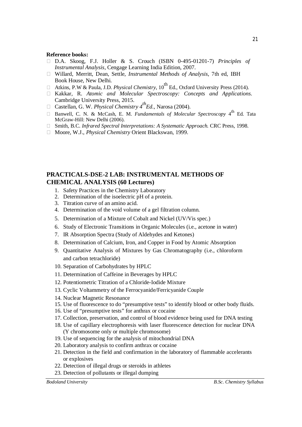#### **Reference books:**

- D.A. Skoog, F.J. Holler & S. Crouch (ISBN 0-495-01201-7) *Principles of Instrumental Analysis*, Cengage Learning India Edition, 2007.
- Willard, Merritt, Dean, Settle, *Instrumental Methods of Analysis*, 7th ed, IBH Book House, New Delhi.
- Atkins, P.W & Paula, J.D. *Physical Chemistry*,  $10^{th}$  Ed., Oxford University Press (2014).
- Kakkar, R. *Atomic and Molecular Spectroscopy: Concepts and Applications.* Cambridge University Press, 2015.
- Castellan, G. W. *Physical Chemistry 4thEd.,* Narosa (2004).
- □ Banwell, C. N. & McCash, E. M. *Fundamentals of Molecular Spectroscopy* 4<sup>th</sup> Ed. Tata McGraw-Hill: New Delhi (2006).
- Smith, B.C. *Infrared Spectral Interpretations: A Systematic Approach.* CRC Press, 1998.
- □ Moore, W.J., *Physical Chemistry* Orient Blackswan, 1999.

# **PRACTICALS-DSE-2 LAB: INSTRUMENTAL METHODS OF CHEMICAL ANALYSIS (60 Lectures)**

- 1. Safety Practices in the Chemistry Laboratory
- 2. Determination of the isoelectric pH of a protein.
- 3. Titration curve of an amino acid.
- 4. Determination of the void volume of a gel filtration column.
- 5. Determination of a Mixture of Cobalt and Nickel (UV/Vis spec.)
- 6. Study of Electronic Transitions in Organic Molecules (i.e., acetone in water)
- 7. IR Absorption Spectra (Study of Aldehydes and Ketones)
- 8. Determination of Calcium, Iron, and Copper in Food by Atomic Absorption
- 9. Quantitative Analysis of Mixtures by Gas Chromatography (i.e., chloroform and carbon tetrachloride)
- 10. Separation of Carbohydrates by HPLC
- 11. Determination of Caffeine in Beverages by HPLC
- 12. Potentiometric Titration of a Chloride-Iodide Mixture
- 13. Cyclic Voltammetry of the Ferrocyanide/Ferricyanide Couple
- 14. Nuclear Magnetic Resonance
- 15. Use of fluorescence to do "presumptive tests" to identify blood or other body fluids.
- 16. Use of "presumptive tests" for anthrax or cocaine
- 17. Collection, preservation, and control of blood evidence being used for DNA testing
- 18. Use of capillary electrophoresis with laser fluorescence detection for nuclear DNA (Y chromosome only or multiple chromosome)
- 19. Use of sequencing for the analysis of mitochondrial DNA
- 20. Laboratory analysis to confirm anthrax or cocaine
- 21. Detection in the field and confirmation in the laboratory of flammable accelerants or explosives
- 22. Detection of illegal drugs or steroids in athletes
- 23. Detection of pollutants or illegal dumping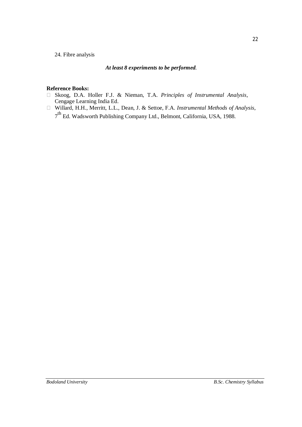#### 24. Fibre analysis

#### *At least 8 experiments to be performed.*

#### **Reference Books:**

- Skoog, D.A. Holler F.J. & Nieman, T.A. *Principles of Instrumental Analysis*, Cengage Learning India Ed.
- Willard, H.H., Merritt, L.L., Dean, J. & Settoe, F.A. *Instrumental Methods of Analysis*, 7<sup>th</sup> Ed. Wadsworth Publishing Company Ltd., Belmont, California, USA, 1988.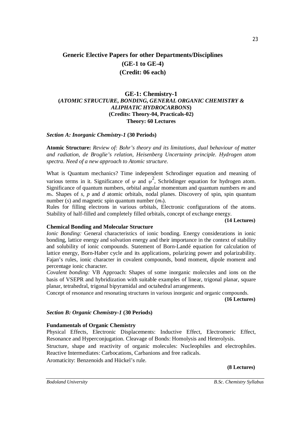# **Generic Elective Papers for other Departments/Disciplines (GE-1 to GE-4) (Credit: 06 each)**

#### **GE-1: Chemistry-1 (***ATOMIC STRUCTURE, BONDING, GENERAL ORGANIC CHEMISTRY & ALIPHATIC HYDROCARBONS***) (Credits: Theory-04, Practicals-02) Theory: 60 Lectures**

#### *Section A: Inorganic Chemistry-1* **(30 Periods)**

**Atomic Structure:** *Review of: Bohr's theory and its limitations, dual behaviour of matter and radiation, de Broglie's relation, Heisenberg Uncertainty principle. Hydrogen atom spectra. Need of a new approach to Atomic structure.*

What is Quantum mechanics? Time independent Schrodinger equation and meaning of various terms in it. Significance of  $\psi$  and  $\psi^2$ , Schrödinger equation for hydrogen atom. Significance of quantum numbers, orbital angular momentum and quantum numbers *mi* and  $m<sub>s</sub>$ . Shapes of *s*, *p* and *d* atomic orbitals, nodal planes. Discovery of spin, spin quantum number (*s*) and magnetic spin quantum number (*ms*).

Rules for filling electrons in various orbitals, Electronic configurations of the atoms. Stability of half-filled and completely filled orbitals, concept of exchange energy.

#### **(14 Lectures)**

#### **Chemical Bonding and Molecular Structure**

*Ionic Bonding:* General characteristics of ionic bonding*.* Energy considerations in ionic bonding, lattice energy and solvation energy and their importance in the context of stability and solubility of ionic compounds. Statement of Born-Landé equation for calculation of lattice energy, Born-Haber cycle and its applications, polarizing power and polarizability. Fajan's rules, ionic character in covalent compounds, bond moment, dipole moment and percentage ionic character.

*Covalent bonding:* VB Approach: Shapes of some inorganic molecules and ions on the basis of VSEPR and hybridization with suitable examples of linear, trigonal planar, square planar, tetrahedral, trigonal bipyramidal and octahedral arrangements.

Concept of resonance and resonating structures in various inorganic and organic compounds. **(16 Lectures)**

#### *Section B: Organic Chemistry-1* **(30 Periods)**

#### **Fundamentals of Organic Chemistry**

Physical Effects, Electronic Displacements: Inductive Effect, Electromeric Effect, Resonance and Hyperconjugation. Cleavage of Bonds: Homolysis and Heterolysis. Structure, shape and reactivity of organic molecules: Nucleophiles and electrophiles. Reactive Intermediates: Carbocations, Carbanions and free radicals.

Aromaticity: Benzenoids and Hückel's rule.

#### **(8 Lectures)**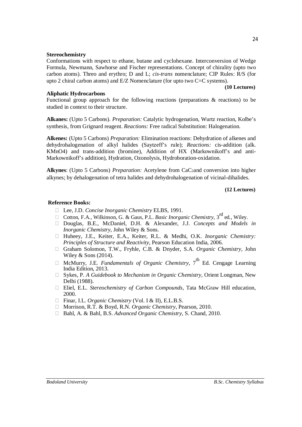#### **Stereochemistry**

Conformations with respect to ethane, butane and cyclohexane. Interconversion of Wedge Formula, Newmann, Sawhorse and Fischer representations. Concept of chirality (upto two carbon atoms). Threo and erythro; D and L; *cis*-*trans* nomenclature; CIP Rules: R/S (for upto 2 chiral carbon atoms) and E/Z Nomenclature (for upto two C=C systems).

#### **(10 Lectures)**

#### **Aliphatic Hydrocarbons**

Functional group approach for the following reactions (preparations & reactions) to be studied in context to their structure.

**Alkanes:** (Upto 5 Carbons). *Preparation:* Catalytic hydrogenation, Wurtz reaction, Kolbe's synthesis, from Grignard reagent. *Reactions:* Free radical Substitution: Halogenation.

**Alkenes:** (Upto 5 Carbons) *Preparation:* Elimination reactions: Dehydration of alkenes and dehydrohalogenation of alkyl halides (Saytzeff's rule); *Reactions:* cis-addition (alk. KMnO4) and trans-addition (bromine), Addition of HX (Markownikoff's and anti-Markownikoff's addition), Hydration, Ozonolysis, Hydroboration-oxidation.

**Alkynes**: (Upto 5 Carbons) *Preparation:* Acetylene from CaC2and conversion into higher alkynes; by dehalogenation of tetra halides and dehydrohalogenation of vicinal-dihalides.

**(12 Lectures)**

#### **Reference Books:**

- Lee, J.D. *Concise Inorganic Chemistry* ELBS, 1991.
- □ Cotton, F.A., Wilkinson, G. & Gaus, P.L. *Basic Inorganic Chemistry*, 3<sup>rd</sup> ed., Wiley.
- Douglas, B.E., McDaniel, D.H. & Alexander, J.J. *Concepts and Models in Inorganic Chemistry*, John Wiley & Sons.
- Huheey, J.E., Keiter, E.A., Keiter, R.L. & Medhi, O.K. *Inorganic Chemistry: Principles of Structure and Reactivity*, Pearson Education India, 2006.
- Graham Solomon, T.W., Fryhle, C.B. & Dnyder, S.A. *Organic Chemistry,* John Wiley & Sons (2014).
- $\Box$  McMurry, J.E. *Fundamentals of Organic Chemistry*, 7<sup>th</sup> Ed. Cengage Learning India Edition, 2013.
- Sykes, P. *A Guidebook to Mechanism in Organic Chemistry,* Orient Longman, New Delhi (1988).
- Eliel, E.L. *Stereochemistry of Carbon Compounds*, Tata McGraw Hill education, 2000.
- □ Finar, I.L. *Organic Chemistry* (Vol. I & II), E.L.B.S.
- Morrison, R.T. & Boyd, R.N. *Organic Chemistry*, Pearson, 2010.
- Bahl, A. & Bahl, B.S. *Advanced Organic Chemistry,* S. Chand, 2010.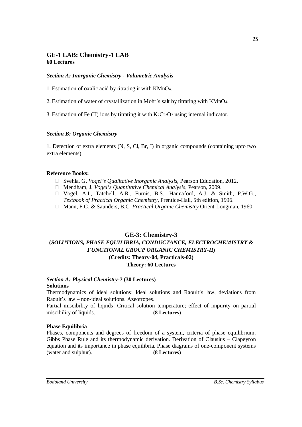# **GE-1 LAB: Chemistry-1 LAB 60 Lectures**

#### *Section A: Inorganic Chemistry - Volumetric Analysis*

1. Estimation of oxalic acid by titrating it with KMnO4.

2. Estimation of water of crystallization in Mohr's salt by titrating with KMnO4.

3. Estimation of Fe (II) ions by titrating it with  $K_2Cr_2O_7$  using internal indicator.

#### *Section B: Organic Chemistry*

1. Detection of extra elements (N, S, Cl, Br, I) in organic compounds (containing upto two extra elements)

#### **Reference Books:**

- □ Svehla, G. *Vogel's Qualitative Inorganic Analysis*, Pearson Education, 2012.
- Mendham, J. *Vogel's Quantitative Chemical Analysis*, Pearson, 2009.
- Vogel, A.I., Tatchell, A.R., Furnis, B.S., Hannaford, A.J. & Smith, P.W.G., *Textbook of Practical Organic Chemistry*, Prentice-Hall, 5th edition, 1996.
- Mann, F.G. & Saunders, B.C. *Practical Organic Chemistry* Orient-Longman, 1960.

# **GE-3: Chemistry-3 (***SOLUTIONS, PHASE EQUILIBRIA, CONDUCTANCE, ELECTROCHEMISTRY & FUNCTIONAL GROUP ORGANIC CHEMISTRY-II***) (Credits: Theory-04, Practicals-02) Theory: 60 Lectures**

#### *Section A: Physical Chemistry-2* **(30 Lectures) Solutions**

Thermodynamics of ideal solutions: Ideal solutions and Raoult's law, deviations from Raoult's law – non-ideal solutions. Azeotropes.

Partial miscibility of liquids: Critical solution temperature; effect of impurity on partial miscibility of liquids. **(8 Lectures)**

#### **Phase Equilibria**

Phases, components and degrees of freedom of a system, criteria of phase equilibrium. Gibbs Phase Rule and its thermodynamic derivation. Derivation of Clausius – Clapeyron equation and its importance in phase equilibria. Phase diagrams of one-component systems (water and sulphur). **(8 Lectures)**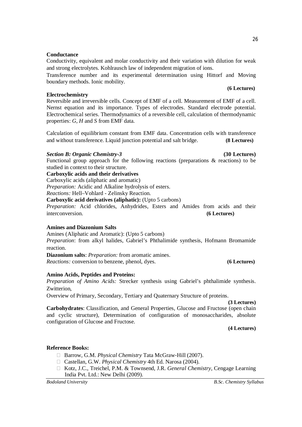#### **Conductance**

Conductivity, equivalent and molar conductivity and their variation with dilution for weak and strong electrolytes. Kohlrausch law of independent migration of ions.

Transference number and its experimental determination using Hittorf and Moving boundary methods. Ionic mobility.

#### **Electrochemistry**

Reversible and irreversible cells. Concept of EMF of a cell. Measurement of EMF of a cell. Nernst equation and its importance. Types of electrodes. Standard electrode potential. Electrochemical series. Thermodynamics of a reversible cell, calculation of thermodynamic properties: *G*, *H* and *S* from EMF data.

Calculation of equilibrium constant from EMF data. Concentration cells with transference and without transference. Liquid junction potential and salt bridge. **(8 Lectures)**

#### *Section B: Organic Chemistry-3* **(30 Lectures)**

Functional group approach for the following reactions (preparations & reactions) to be studied in context to their structure.

#### **Carboxylic acids and their derivatives**

Carboxylic acids (aliphatic and aromatic)

*Preparation:* Acidic and Alkaline hydrolysis of esters.

*Reactions:* Hell–Vohlard - Zelinsky Reaction.

**Carboxylic acid derivatives (aliphatic):** (Upto 5 carbons)

*Preparation:* Acid chlorides, Anhydrides, Esters and Amides from acids and their interconversion. **(6 Lectures)**

#### **Amines and Diazonium Salts**

Amines (Aliphatic and Aromatic): (Upto 5 carbons)

*Preparation*: from alkyl halides, Gabriel's Phthalimide synthesis, Hofmann Bromamide reaction.

**Diazonium salts**: *Preparation:* from aromatic amines. *Reactions:* conversion to benzene, phenol, dyes. **(6 Lectures)**

#### **Amino Acids, Peptides and Proteins:**

*Preparation of Amino Acids:* Strecker synthesis using Gabriel's phthalimide synthesis. Zwitterion,

Overview of Primary, Secondary, Tertiary and Quaternary Structure of proteins.

**(3 Lectures)**

**Carbohydrates**: Classification, and General Properties, Glucose and Fructose (open chain and cyclic structure), Determination of configuration of monosaccharides, absolute configuration of Glucose and Fructose.

**(4 Lectures)**

#### **Reference Books:**

- □ Barrow, G.M. *Physical Chemistry* Tata McGraw-Hill (2007).
- Castellan, G.W. *Physical Chemistry* 4th Ed. Narosa (2004).
- Kotz, J.C., Treichel, P.M. & Townsend, J.R. *General Chemistry*, Cengage Learning India Pvt. Ltd.: New Delhi (2009).

#### **(6 Lectures)**

26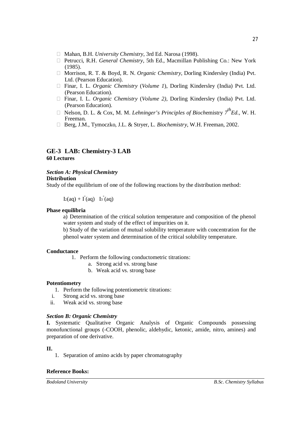- Mahan, B.H. *University Chemistry*, 3rd Ed. Narosa (1998).
- Petrucci, R.H. *General Chemistry*, 5th Ed., Macmillan Publishing Co.: New York (1985).
- □ Morrison, R. T. & Boyd, R. N. *Organic Chemistry*, Dorling Kindersley (India) Pvt. Ltd. (Pearson Education).
- Finar, I. L. *Organic Chemistry* (*Volume 1*), Dorling Kindersley (India) Pvt. Ltd. (Pearson Education).
- Finar, I. L. *Organic Chemistry* (*Volume 2)*, Dorling Kindersley (India) Pvt. Ltd. (Pearson Education).
- $\Box$  Nelson, D. L. & Cox, M. M. *Lehninger's Principles of Biochemistry*  $7^{th}Ed$ , W. H. Freeman.
- Berg, J.M., Tymoczko, J.L. & Stryer, L. *Biochemistry*, W.H. Freeman, 2002.

## **GE-3 LAB: Chemistry-3 LAB 60 Lectures**

#### *Section A: Physical Chemistry*

#### **Distribution**

Study of the equilibrium of one of the following reactions by the distribution method:

 $I_2(aq) + I(aq) I_3(aq)$ 

#### **Phase equilibria**

a) Determination of the critical solution temperature and composition of the phenol water system and study of the effect of impurities on it.

b) Study of the variation of mutual solubility temperature with concentration for the phenol water system and determination of the critical solubility temperature.

#### **Conductance**

- 1. Perform the following conductometric titrations:
	- a. Strong acid vs. strong base
	- b. Weak acid vs. strong base

#### **Potentiometry**

- 1. Perform the following potentiometric titrations:
- i. Strong acid vs. strong base
- ii. Weak acid vs. strong base

#### *Section B: Organic Chemistry*

**I.** Systematic Qualitative Organic Analysis of Organic Compounds possessing monofunctional groups (-COOH, phenolic, aldehydic, ketonic, amide, nitro, amines) and preparation of one derivative.

#### **II.**

1. Separation of amino acids by paper chromatography

#### **Reference Books:**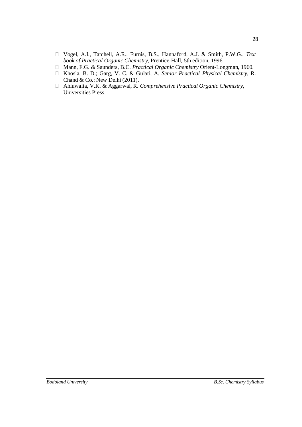- Vogel, A.I., Tatchell, A.R., Furnis, B.S., Hannaford, A.J. & Smith, P.W.G., *Text book of Practical Organic Chemistry*, Prentice-Hall, 5th edition, 1996.
- Mann, F.G. & Saunders, B.C. *Practical Organic Chemistry* Orient-Longman, 1960.
- Khosla, B. D.; Garg, V. C. & Gulati, A. *Senior Practical Physical Chemistry,* R. Chand & Co.: New Delhi (2011).
- Ahluwalia, V.K. & Aggarwal, R. *Comprehensive Practical Organic Chemistry,* Universities Press.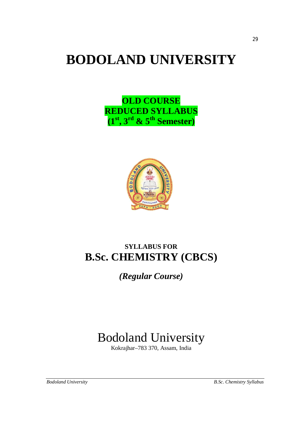# **BODOLAND UNIVERSITY**

**OLD COURSE REDUCED SYLLABUS (1st, 3rd & 5th Semester)**



# **SYLLABUS FOR B.Sc. CHEMISTRY (CBCS)**

*(Regular Course)*

# Bodoland University

Kokrajhar–783 370, Assam, India

29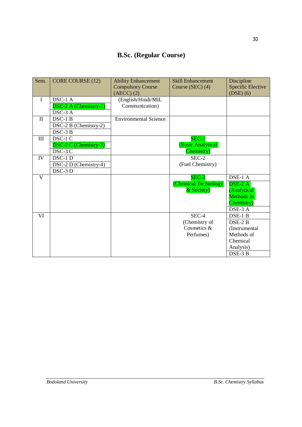# **B.Sc. (Regular Course)**

| Sem.           | CORE COURSE (12)             | <b>Ability Enhancement</b><br><b>Compulsory Course</b> | <b>Skill Enhancement</b><br>Course (SEC) (4) | Discipline<br><b>Specific Elective</b> |
|----------------|------------------------------|--------------------------------------------------------|----------------------------------------------|----------------------------------------|
|                |                              | $(AECC)$ $(2)$                                         |                                              | $(DSE)$ (6)                            |
| $\mathbf{I}$   | DSC-1 A                      | (English/Hindi/MIL                                     |                                              |                                        |
|                | DSC-2 A (Chemistry-1)        | Communication)                                         |                                              |                                        |
|                | DSC-3 A                      |                                                        |                                              |                                        |
| $\mathbf{I}$   | DSC-1 B                      | <b>Environmental Science</b>                           |                                              |                                        |
|                | DSC-2 B (Chemistry-2)        |                                                        |                                              |                                        |
|                | DSC-3 B                      |                                                        |                                              |                                        |
| III            | DSC-1 C                      |                                                        | $SEC-1$                                      |                                        |
|                | <b>DSC-2 C (Chemistry-3)</b> |                                                        | (Basic Analytical                            |                                        |
|                | DSC-3 C                      |                                                        | Chemistry)                                   |                                        |
| IV             | DSC-1 D                      |                                                        | SEC-2                                        |                                        |
|                | DSC-2 D (Chemistry-4)        |                                                        | (Fuel Chemistry)                             |                                        |
|                | DSC-3 D                      |                                                        |                                              |                                        |
| $\overline{V}$ |                              |                                                        | SEC-3                                        | DSE-1 A                                |
|                |                              |                                                        | <b>Chemical Technology</b>                   | $\overline{\text{DSE-2 A}}$            |
|                |                              |                                                        | & Society)                                   | (Analytical                            |
|                |                              |                                                        |                                              | Methods in                             |
|                |                              |                                                        |                                              | Chemistry)                             |
|                |                              |                                                        |                                              | DSE-3 A                                |
| VI             |                              |                                                        | SEC-4                                        | DSE-1 B                                |
|                |                              |                                                        | (Chemistry of                                | DSE-2 B                                |
|                |                              |                                                        | Cosmetics &                                  | (Instrumental                          |
|                |                              |                                                        | Perfumes)                                    | Methods of                             |
|                |                              |                                                        |                                              | Chemical                               |
|                |                              |                                                        |                                              | Analysis)                              |
|                |                              |                                                        |                                              | DSE-3 B                                |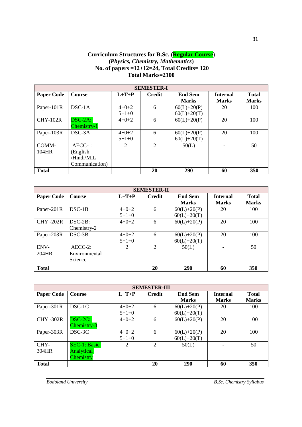#### **Curriculum Structures for B.Sc. (Regular Course) (***Physics, Chemistry, Mathematics***) No. of papers =12+12=24, Total Credits= 120 Total Marks=2100**

|                   | <b>SEMESTER-I</b> |         |                |                |                 |              |  |  |  |
|-------------------|-------------------|---------|----------------|----------------|-----------------|--------------|--|--|--|
| <b>Paper Code</b> | Course            | $L+T+P$ | <b>Credit</b>  | <b>End Sem</b> | <b>Internal</b> | <b>Total</b> |  |  |  |
|                   |                   |         |                | <b>Marks</b>   | <b>Marks</b>    | <b>Marks</b> |  |  |  |
| Paper-101R        | $DSC-1A$          | $4+0+2$ | 6              | $60(L)+20(P)$  | 20              | 100          |  |  |  |
|                   |                   | $5+1+0$ |                | $60(L)+20(T)$  |                 |              |  |  |  |
| $CHY-102R$        | $DSC-2A$ :        | $4+0+2$ | 6              | $60(L)+20(P)$  | 20              | 100          |  |  |  |
|                   | Chemistry-1       |         |                |                |                 |              |  |  |  |
| Paper-103R        | $DSC-3A$          | $4+0+2$ | 6              | $60(L)+20(P)$  | 20              | 100          |  |  |  |
|                   |                   | $5+1+0$ |                | $60(L)+20(T)$  |                 |              |  |  |  |
| COMM-             | $AECC-1$ :        | 2       | $\overline{2}$ | 50(L)          |                 | 50           |  |  |  |
| 104HR             | (English          |         |                |                |                 |              |  |  |  |
|                   | /Hindi/MIL        |         |                |                |                 |              |  |  |  |
|                   | Communication)    |         |                |                |                 |              |  |  |  |
| <b>Total</b>      |                   |         | 20             | <b>290</b>     | 60              | 350          |  |  |  |

|                   | <b>SEMESTER-II</b> |                |                |                |                 |              |  |  |  |
|-------------------|--------------------|----------------|----------------|----------------|-----------------|--------------|--|--|--|
| <b>Paper Code</b> | Course             | $L+T+P$        | <b>Credit</b>  | <b>End Sem</b> | <b>Internal</b> | <b>Total</b> |  |  |  |
|                   |                    |                |                | <b>Marks</b>   | <b>Marks</b>    | <b>Marks</b> |  |  |  |
| Paper-201R        | $DSC-1B$           | $4 + 0 + 2$    | 6              | $60(L)+20(P)$  | 20              | 100          |  |  |  |
|                   |                    | $5+1+0$        |                | $60(L)+20(T)$  |                 |              |  |  |  |
| <b>CHY-202R</b>   | $DSC-2B$ :         | $4+0+2$        | 6              | $60(L)+20(P)$  | 20              | 100          |  |  |  |
|                   | Chemistry-2        |                |                |                |                 |              |  |  |  |
| Paper-203R        | $DSC-3B$           | $4 + 0 + 2$    | 6              | $60(L)+20(P)$  | 20              | 100          |  |  |  |
|                   |                    | $5+1+0$        |                | $60(L)+20(T)$  |                 |              |  |  |  |
| ENV-              | $AECC-2$ :         | $\mathfrak{D}$ | $\overline{2}$ | 50(L)          |                 | 50           |  |  |  |
| 204HR             | Environmental      |                |                |                |                 |              |  |  |  |
|                   | Science            |                |                |                |                 |              |  |  |  |
| <b>Total</b>      |                    |                | 20             | <b>290</b>     | 60              | 350          |  |  |  |

| <b>SEMESTER-III</b> |                     |                             |                |                |                 |              |  |  |
|---------------------|---------------------|-----------------------------|----------------|----------------|-----------------|--------------|--|--|
| <b>Paper Code</b>   | Course              | $L+T+P$                     | <b>Credit</b>  | <b>End Sem</b> | <b>Internal</b> | <b>Total</b> |  |  |
|                     |                     |                             |                | <b>Marks</b>   | <b>Marks</b>    | <b>Marks</b> |  |  |
| Paper-301R          | DSC-1C              | $4 + 0 + 2$                 | 6              | $60(L)+20(P)$  | 20              | 100          |  |  |
|                     |                     | $5+1+0$                     |                | $60(L)+20(T)$  |                 |              |  |  |
| <b>CHY-302R</b>     | $DSC-2C$ :          | $4+0+2$                     | 6              | $60(L)+20(P)$  | 20              | 100          |  |  |
|                     | Chemistry-3         |                             |                |                |                 |              |  |  |
| Paper-303R          | DSC-3C              | $4 + 0 + 2$                 | 6              | $60(L)+20(P)$  | 20              | 100          |  |  |
|                     |                     | $5+1+0$                     |                | $60(L)+20(T)$  |                 |              |  |  |
| CHY-                | <b>SEC-1: Basic</b> | $\mathcal{D}_{\mathcal{A}}$ | $\overline{2}$ | 50(L)          |                 | 50           |  |  |
| 304HR               | <b>Analytical</b>   |                             |                |                |                 |              |  |  |
|                     | Chemistry           |                             |                |                |                 |              |  |  |
| <b>Total</b>        |                     |                             | 20             | <b>290</b>     | 60              | 350          |  |  |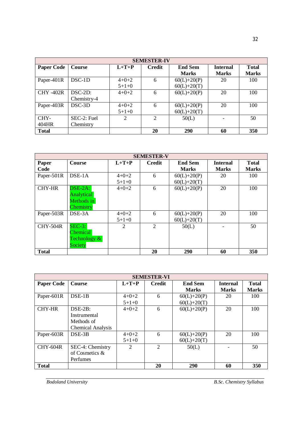|                   | <b>SEMESTER-IV</b>         |                        |               |                                |                                 |                               |  |  |  |
|-------------------|----------------------------|------------------------|---------------|--------------------------------|---------------------------------|-------------------------------|--|--|--|
| <b>Paper Code</b> | Course                     | $L+T+P$                | <b>Credit</b> | <b>End Sem</b><br><b>Marks</b> | <b>Internal</b><br><b>Marks</b> | <b>T</b> otal<br><b>Marks</b> |  |  |  |
| Paper-401R        | $DSC-1D$                   | $4 + 0 + 2$<br>$5+1+0$ | 6             | $60(L)+20(P)$<br>$60(L)+20(T)$ | 20                              | 100                           |  |  |  |
| <b>CHY-402R</b>   | $DSC-2D$ :<br>Chemistry-4  | $4 + 0 + 2$            | 6             | $60(L)+20(P)$                  | 20                              | 100                           |  |  |  |
| Paper-403R        | $DSC-3D$                   | $4 + 0 + 2$<br>$5+1+0$ | 6             | $60(L)+20(P)$<br>$60(L)+20(T)$ | 20                              | 100                           |  |  |  |
| CHY-<br>404HR     | $SEC-2: Fuel$<br>Chemistry | 2                      | 2             | 50(L)                          |                                 | 50                            |  |  |  |
| <b>Total</b>      |                            |                        | 20            | <b>290</b>                     | 60                              | 350                           |  |  |  |

| <b>SEMESTER-V</b> |                              |                |                |                 |                 |              |  |  |  |  |  |
|-------------------|------------------------------|----------------|----------------|-----------------|-----------------|--------------|--|--|--|--|--|
| Paper             | Course                       | $L+T+P$        | <b>Credit</b>  | <b>End Sem</b>  | <b>Internal</b> | <b>Total</b> |  |  |  |  |  |
| Code              |                              |                |                | <b>Marks</b>    | <b>Marks</b>    | <b>Marks</b> |  |  |  |  |  |
| Paper-501R        | $DSE-1A$                     | $4+0+2$        | 6              | $60(L)+20(P)$   | 20              | 100          |  |  |  |  |  |
|                   |                              | $5+1+0$        |                | $60(L) + 20(T)$ |                 |              |  |  |  |  |  |
| <b>CHY-HR</b>     | $\overline{\text{DSE-2A}}$ : | $4+0+2$        | 6              | $60(L)+20(P)$   | 20              | 100          |  |  |  |  |  |
|                   | <b>Analytical</b>            |                |                |                 |                 |              |  |  |  |  |  |
|                   | Methods in                   |                |                |                 |                 |              |  |  |  |  |  |
|                   | Chemistry                    |                |                |                 |                 |              |  |  |  |  |  |
| Paper-503R        | DSE-3A                       | $4 + 0 + 2$    | 6              | $60(L)+20(P)$   | 20              | 100          |  |  |  |  |  |
|                   |                              | $5+1+0$        |                | $60(L)+20(T)$   |                 |              |  |  |  |  |  |
| <b>CHY-504R</b>   | $SEC-3:$                     | $\overline{2}$ | $\overline{2}$ | 50(L)           |                 | 50           |  |  |  |  |  |
|                   | <b>Chemical</b>              |                |                |                 |                 |              |  |  |  |  |  |
|                   | Technology $\&$              |                |                |                 |                 |              |  |  |  |  |  |
|                   | <b>Society</b>               |                |                |                 |                 |              |  |  |  |  |  |
| <b>Total</b>      |                              |                | 20             | 290             | 60              | 350          |  |  |  |  |  |

| <b>SEMESTER-VI</b> |                          |         |                             |                 |                 |              |  |  |  |  |
|--------------------|--------------------------|---------|-----------------------------|-----------------|-----------------|--------------|--|--|--|--|
| <b>Paper Code</b>  | <b>Course</b>            | $L+T+P$ | <b>Credit</b>               | <b>End Sem</b>  | <b>Internal</b> | <b>Total</b> |  |  |  |  |
|                    |                          |         |                             | <b>Marks</b>    | <b>Marks</b>    | <b>Marks</b> |  |  |  |  |
| Paper-601R         | $DSE-1B$                 | $4+0+2$ | 6                           | $60(L)+20(P)$   | 20              | 100          |  |  |  |  |
|                    |                          | $5+1+0$ |                             | $60(L) + 20(T)$ |                 |              |  |  |  |  |
| <b>CHY-HR</b>      | $DSE-2B$ :               | $4+0+2$ | 6                           | $60(L)+20(P)$   | 20              | 100          |  |  |  |  |
|                    | Instrumental             |         |                             |                 |                 |              |  |  |  |  |
|                    | Methods of               |         |                             |                 |                 |              |  |  |  |  |
|                    | <b>Chemical Analysis</b> |         |                             |                 |                 |              |  |  |  |  |
| Paper-603R         | $DSE-3B$                 | $4+0+2$ | 6                           | $60(L)+20(P)$   | 20              | 100          |  |  |  |  |
|                    |                          | $5+1+0$ |                             | $60(L) + 20(T)$ |                 |              |  |  |  |  |
| <b>CHY-604R</b>    | SEC-4: Chemistry         | 2       | $\mathcal{D}_{\mathcal{L}}$ | 50(L)           |                 | 50           |  |  |  |  |
|                    | of Cosmetics &           |         |                             |                 |                 |              |  |  |  |  |
|                    | Perfumes                 |         |                             |                 |                 |              |  |  |  |  |
| <b>Total</b>       |                          |         | 20                          | 290             | 60              | 350          |  |  |  |  |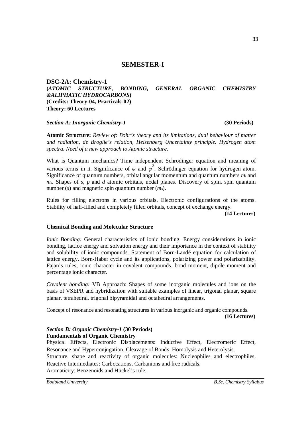## **SEMESTER-I**

**DSC-2A: Chemistry-1 (***ATOMIC STRUCTURE, BONDING, GENERAL ORGANIC CHEMISTRY &ALIPHATIC HYDROCARBONS***) (Credits: Theory-04, Practicals-02) Theory: 60 Lectures**

#### *Section A: Inorganic Chemistry-1* **(30 Periods)**

**Atomic Structure:** *Review of: Bohr's theory and its limitations, dual behaviour of matter and radiation, de Broglie's relation, Heisenberg Uncertainty principle. Hydrogen atom spectra. Need of a new approach to Atomic structure.*

What is Quantum mechanics? Time independent Schrodinger equation and meaning of various terms in it. Significance of  $\psi$  and  $\psi^2$ , Schrödinger equation for hydrogen atom. Significance of quantum numbers, orbital angular momentum and quantum numbers *mi* and  $m<sub>s</sub>$ . Shapes of *s*, *p* and *d* atomic orbitals, nodal planes. Discovery of spin, spin quantum number (*s*) and magnetic spin quantum number (*ms*).

Rules for filling electrons in various orbitals, Electronic configurations of the atoms. Stability of half-filled and completely filled orbitals, concept of exchange energy.

**(14 Lectures)**

#### **Chemical Bonding and Molecular Structure**

*Ionic Bonding:* General characteristics of ionic bonding*.* Energy considerations in ionic bonding, lattice energy and solvation energy and their importance in the context of stability and solubility of ionic compounds. Statement of Born-Landé equation for calculation of lattice energy, Born-Haber cycle and its applications, polarizing power and polarizability. Fajan's rules, ionic character in covalent compounds, bond moment, dipole moment and percentage ionic character.

*Covalent bonding:* VB Approach: Shapes of some inorganic molecules and ions on the basis of VSEPR and hybridization with suitable examples of linear, trigonal planar, square planar, tetrahedral, trigonal bipyramidal and octahedral arrangements.

Concept of resonance and resonating structures in various inorganic and organic compounds. **(16 Lectures)**

#### *Section B: Organic Chemistry-1* **(30 Periods) Fundamentals of Organic Chemistry**

Physical Effects, Electronic Displacements: Inductive Effect, Electromeric Effect, Resonance and Hyperconjugation. Cleavage of Bonds: Homolysis and Heterolysis. Structure, shape and reactivity of organic molecules: Nucleophiles and electrophiles. Reactive Intermediates: Carbocations, Carbanions and free radicals. Aromaticity: Benzenoids and Hückel's rule.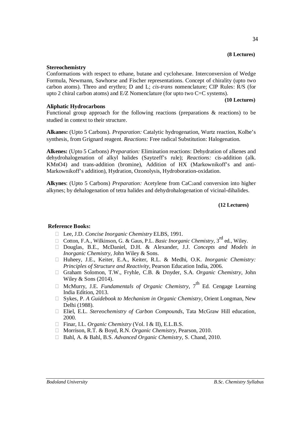#### **(8 Lectures)**

34

#### **Stereochemistry**

Conformations with respect to ethane, butane and cyclohexane. Interconversion of Wedge Formula, Newmann, Sawhorse and Fischer representations. Concept of chirality (upto two carbon atoms). Threo and erythro; D and L; *cis*-*trans* nomenclature; CIP Rules: R/S (for upto 2 chiral carbon atoms) and E/Z Nomenclature (for upto two C=C systems).

#### **(10 Lectures)**

#### **Aliphatic Hydrocarbons**

Functional group approach for the following reactions (preparations & reactions) to be studied in context to their structure.

**Alkanes:** (Upto 5 Carbons). *Preparation:* Catalytic hydrogenation, Wurtz reaction, Kolbe's synthesis, from Grignard reagent. *Reactions:* Free radical Substitution: Halogenation.

**Alkenes:** (Upto 5 Carbons) *Preparation:* Elimination reactions: Dehydration of alkenes and dehydrohalogenation of alkyl halides (Saytzeff's rule); *Reactions:* cis-addition (alk. KMnO4) and trans-addition (bromine), Addition of HX (Markownikoff's and anti-Markownikoff's addition), Hydration, Ozonolysis, Hydroboration-oxidation.

**Alkynes**: (Upto 5 Carbons) *Preparation:* Acetylene from CaC2and conversion into higher alkynes; by dehalogenation of tetra halides and dehydrohalogenation of vicinal-dihalides.

#### **(12 Lectures)**

#### **Reference Books:**

- □ Lee, J.D. *Concise Inorganic Chemistry* ELBS, 1991.
- □ Cotton, F.A., Wilkinson, G. & Gaus, P.L. *Basic Inorganic Chemistry*, 3<sup>rd</sup> ed., Wiley.
- Douglas, B.E., McDaniel, D.H. & Alexander, J.J. *Concepts and Models in Inorganic Chemistry*, John Wiley & Sons.
- Huheey, J.E., Keiter, E.A., Keiter, R.L. & Medhi, O.K. *Inorganic Chemistry: Principles of Structure and Reactivity*, Pearson Education India, 2006.
- Graham Solomon, T.W., Fryhle, C.B. & Dnyder, S.A. *Organic Chemistry,* John Wiley & Sons (2014).
- $\Box$  McMurry, J.E. *Fundamentals of Organic Chemistry*,  $7<sup>th</sup>$  Ed. Cengage Learning India Edition, 2013.
- Sykes, P. *A Guidebook to Mechanism in Organic Chemistry,* Orient Longman, New Delhi (1988).
- Eliel, E.L. *Stereochemistry of Carbon Compounds*, Tata McGraw Hill education, 2000.
- □ Finar, I.L. *Organic Chemistry* (Vol. I & II), E.L.B.S.
- Morrison, R.T. & Boyd, R.N. *Organic Chemistry*, Pearson, 2010.
- Bahl, A. & Bahl, B.S. *Advanced Organic Chemistry,* S. Chand, 2010.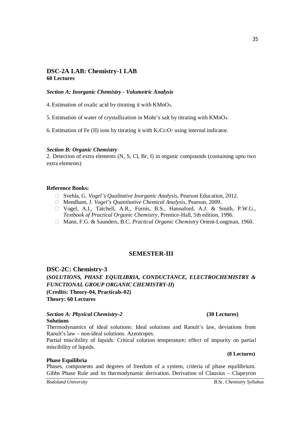#### **DSC-2A LAB: Chemistry-1 LAB 60 Lectures**

#### *Section A: Inorganic Chemistry - Volumetric Analysis*

4. Estimation of oxalic acid by titrating it with KMnO4.

5. Estimation of water of crystallization in Mohr's salt by titrating with KMnO4.

6. Estimation of Fe  $(II)$  ions by titrating it with K<sub>2</sub>Cr<sub>2</sub>O<sub>7</sub> using internal indicator.

#### *Section B: Organic Chemistry*

2. Detection of extra elements (N, S, Cl, Br, I) in organic compounds (containing upto two extra elements)

#### **Reference Books:**

- □ Svehla, G. *Vogel's Qualitative Inorganic Analysis*, Pearson Education, 2012.
- Mendham, J. *Vogel's Quantitative Chemical Analysis*, Pearson, 2009.
- Vogel, A.I., Tatchell, A.R., Furnis, B.S., Hannaford, A.J. & Smith, P.W.G., *Textbook of Practical Organic Chemistry*, Prentice-Hall, 5th edition, 1996.
- Mann, F.G. & Saunders, B.C. *Practical Organic Chemistry* Orient-Longman, 1960.

#### **SEMESTER-III**

**DSC-2C: Chemistry-3** 

**(***SOLUTIONS, PHASE EQUILIBRIA, CONDUCTANCE, ELECTROCHEMISTRY & FUNCTIONAL GROUP ORGANIC CHEMISTRY-II***) (Credits: Theory-04, Practicals-02) Theory: 60 Lectures**

#### *Section A: Physical Chemistry-2* **(30 Lectures) Solutions**

Thermodynamics of ideal solutions: Ideal solutions and Raoult's law, deviations from Raoult's law – non-ideal solutions. Azeotropes.

Partial miscibility of liquids: Critical solution temperature; effect of impurity on partial miscibility of liquids.

#### **Phase Equilibria**

Phases, components and degrees of freedom of a system, criteria of phase equilibrium. Gibbs Phase Rule and its thermodynamic derivation. Derivation of Clausius – Clapeyron

*Bodoland University B.Sc. Chemistry Syllabus*

**(8 Lectures)**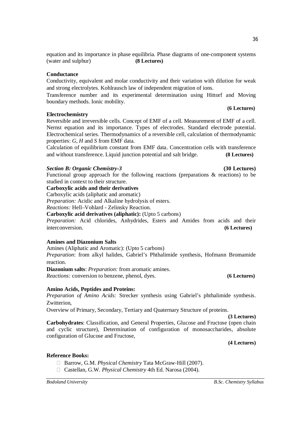**Reference Books:**

equation and its importance in phase equilibria. Phase diagrams of one-component systems (water and sulphur) **(8 Lectures)**

# **Conductance**

Conductivity, equivalent and molar conductivity and their variation with dilution for weak and strong electrolytes. Kohlrausch law of independent migration of ions.

Transference number and its experimental determination using Hittorf and Moving boundary methods. Ionic mobility. **(6 Lectures)**

# **Electrochemistry**

Reversible and irreversible cells. Concept of EMF of a cell. Measurement of EMF of a cell. Nernst equation and its importance. Types of electrodes. Standard electrode potential. Electrochemical series. Thermodynamics of a reversible cell, calculation of thermodynamic properties: *G*, *H* and *S* from EMF data.

Calculation of equilibrium constant from EMF data. Concentration cells with transference and without transference. Liquid junction potential and salt bridge. **(8 Lectures)**

# *Section B: Organic Chemistry-3* **(30 Lectures)**

Functional group approach for the following reactions (preparations & reactions) to be studied in context to their structure.

# **Carboxylic acids and their derivatives**

Carboxylic acids (aliphatic and aromatic)

*Preparation:* Acidic and Alkaline hydrolysis of esters.

*Reactions:* Hell–Vohlard - Zelinsky Reaction.

**Carboxylic acid derivatives (aliphatic):** (Upto 5 carbons)

*Preparation:* Acid chlorides, Anhydrides, Esters and Amides from acids and their interconversion. **(6 Lectures)**

# **Amines and Diazonium Salts**

Amines (Aliphatic and Aromatic): (Upto 5 carbons)

*Preparation*: from alkyl halides, Gabriel's Phthalimide synthesis, Hofmann Bromamide reaction.

**Diazonium salts**: *Preparation:* from aromatic amines.

*Reactions:* conversion to benzene, phenol, dyes. **(6 Lectures)**

# **Amino Acids, Peptides and Proteins:**

*Preparation of Amino Acids:* Strecker synthesis using Gabriel's phthalimide synthesis. Zwitterion,

Overview of Primary, Secondary, Tertiary and Quaternary Structure of proteins.

□ Barrow, G.M. *Physical Chemistry* Tata McGraw-Hill (2007). Castellan, G.W. *Physical Chemistry* 4th Ed. Narosa (2004).

**(3 Lectures) Carbohydrates**: Classification, and General Properties, Glucose and Fructose (open chain and cyclic structure), Determination of configuration of monosaccharides, absolute configuration of Glucose and Fructose,

**(4 Lectures)**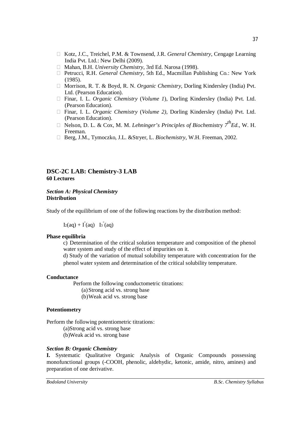- Kotz, J.C., Treichel, P.M. & Townsend, J.R. *General Chemistry*, Cengage Learning India Pvt. Ltd.: New Delhi (2009).
- Mahan, B.H. *University Chemistry*, 3rd Ed. Narosa (1998).
- Petrucci, R.H. *General Chemistry*, 5th Ed., Macmillan Publishing Co.: New York (1985).
- □ Morrison, R. T. & Boyd, R. N. *Organic Chemistry*, Dorling Kindersley (India) Pvt. Ltd. (Pearson Education).
- Finar, I. L. *Organic Chemistry* (*Volume 1*), Dorling Kindersley (India) Pvt. Ltd. (Pearson Education).
- Finar, I. L. *Organic Chemistry* (*Volume 2)*, Dorling Kindersley (India) Pvt. Ltd. (Pearson Education).
- $\Box$  Nelson, D. L. & Cox, M. M. *Lehninger's Principles of Biochemistry*  $7^{th}Ed$ , W. H. Freeman.
- Berg, J.M., Tymoczko, J.L. &Stryer, L. *Biochemistry*, W.H. Freeman, 2002.

#### **DSC-2C LAB: Chemistry-3 LAB 60 Lectures**

#### *Section A: Physical Chemistry* **Distribution**

Study of the equilibrium of one of the following reactions by the distribution method:

 $I_2(aq) + I(aq) I_3(aq)$ 

#### **Phase equilibria**

c) Determination of the critical solution temperature and composition of the phenol water system and study of the effect of impurities on it.

d) Study of the variation of mutual solubility temperature with concentration for the phenol water system and determination of the critical solubility temperature.

#### **Conductance**

Perform the following conductometric titrations: (a)Strong acid vs. strong base (b)Weak acid vs. strong base

#### **Potentiometry**

Perform the following potentiometric titrations:

(a)Strong acid vs. strong base

(b)Weak acid vs. strong base

#### *Section B: Organic Chemistry*

**I.** Systematic Qualitative Organic Analysis of Organic Compounds possessing monofunctional groups (-COOH, phenolic, aldehydic, ketonic, amide, nitro, amines) and preparation of one derivative.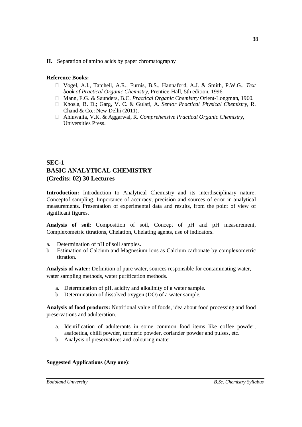#### **II.** Separation of amino acids by paper chromatography

#### **Reference Books:**

- Vogel, A.I., Tatchell, A.R., Furnis, B.S., Hannaford, A.J. & Smith, P.W.G., *Text book of Practical Organic Chemistry*, Prentice-Hall, 5th edition, 1996.
- Mann, F.G. & Saunders, B.C. *Practical Organic Chemistry* Orient-Longman, 1960.
- Khosla, B. D.; Garg, V. C. & Gulati, A. *Senior Practical Physical Chemistry,* R. Chand & Co.: New Delhi (2011).
- Ahluwalia, V.K. & Aggarwal, R. *Comprehensive Practical Organic Chemistry,* Universities Press.

# **SEC-1 BASIC ANALYTICAL CHEMISTRY (Credits: 02) 30 Lectures**

**Introduction:** Introduction to Analytical Chemistry and its interdisciplinary nature. Conceptof sampling. Importance of accuracy, precision and sources of error in analytical measurements. Presentation of experimental data and results, from the point of view of significant figures.

**Analysis of soil**: Composition of soil, Concept of pH and pH measurement, Complexometric titrations, Chelation, Chelating agents, use of indicators.

- a. Determination of pH of soil samples.
- b. Estimation of Calcium and Magnesium ions as Calcium carbonate by complexometric titration.

**Analysis of water:** Definition of pure water, sources responsible for contaminating water, water sampling methods, water purification methods.

- a. Determination of pH, acidity and alkalinity of a water sample.
- b. Determination of dissolved oxygen (DO) of a water sample.

**Analysis of food products:** Nutritional value of foods, idea about food processing and food preservations and adulteration.

- a. Identification of adulterants in some common food items like coffee powder, asafoetida, chilli powder, turmeric powder, coriander powder and pulses, etc.
- b. Analysis of preservatives and colouring matter.

#### **Suggested Applications (Any one)**:

38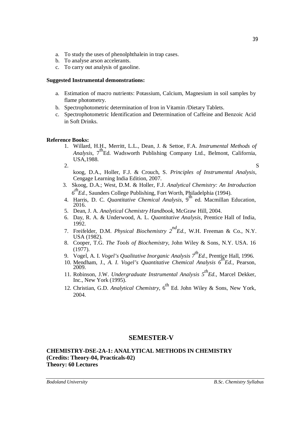- a. To study the uses of phenolphthalein in trap cases.
- b. To analyse arson accelerants.
- c. To carry out analysis of gasoline.

#### **Suggested Instrumental demonstrations:**

- a. Estimation of macro nutrients: Potassium, Calcium, Magnesium in soil samples by flame photometry.
- b. Spectrophotometric determination of Iron in Vitamin /Dietary Tablets.
- c. Spectrophotometric Identification and Determination of Caffeine and Benzoic Acid in Soft Drinks.

#### **Reference Books:**

- 1. Willard, H.H., Merritt, L.L., Dean, J. & Settoe, F.A. *Instrumental Methods of Analysis*, 7<sup>th</sup>Ed. Wadsworth Publishing Company Ltd., Belmont, California, USA,1988.
- 2.  $S$ koog, D.A., Holler, F.J. & Crouch, S. *Principles of Instrumental Analysis*, Cengage Learning India Edition, 2007.
- 3. Skoog, D.A.; West, D.M. & Holler, F.J. *Analytical Chemistry: An Introduction 6 thEd.,* Saunders College Publishing, Fort Worth, Philadelphia (1994).
- 4. Harris, D. C. *Quantitative Chemical Analysis*, 9th ed. Macmillan Education, 2016.
- 5. Dean, J. A. *Analytical Chemistry Handbook*, McGraw Hill, 2004.
- 6. Day, R. A. & Underwood, A. L. *Quantitative Analysis*, Prentice Hall of India, 1992.
- 7. Freifelder, D.M. *Physical Biochemistry 2ndEd.,* W.H. Freeman & Co., N.Y. USA (1982).
- 8. Cooper, T.G. *The Tools of Biochemistry,* John Wiley & Sons, N.Y. USA. 16 (1977).
- 9. Vogel, A. I. *Vogel's Qualitative Inorganic Analysis 7thEd.,* Prentice Hall, 1996.
- 10. Mendham, J., *A. I. Vogel's Quantitative Chemical Analysis 6thEd.,* Pearson, 2009.
- 11. Robinson, J.W. *Undergraduate Instrumental Analysis 5thEd.,* Marcel Dekker, Inc., New York (1995).
- 12. Christian, G.D. *Analytical Chemistry*, 6<sup>th</sup> Ed. John Wiley & Sons, New York, 2004.

#### **SEMESTER-V**

#### **CHEMISTRY-DSE-2A-1: ANALYTICAL METHODS IN CHEMISTRY (Credits: Theory-04, Practicals-02) Theory: 60 Lectures**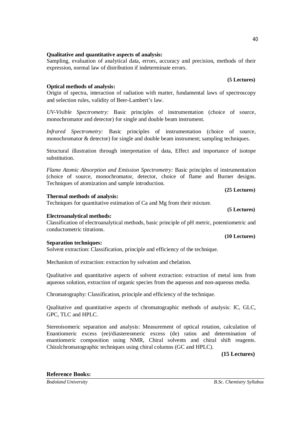#### 40

#### **Qualitative and quantitative aspects of analysis:**

Sampling, evaluation of analytical data, errors, accuracy and precision, methods of their expression, normal law of distribution if indeterminate errors.

#### **Optical methods of analysis:**

Origin of spectra, interaction of radiation with matter, fundamental laws of spectroscopy and selection rules, validity of Beer-Lambert's law.

*UV-Visible Spectrometry:* Basic principles of instrumentation (choice of source, monochromator and detector) for single and double beam instrument.

*Infrared Spectrometry:* Basic principles of instrumentation (choice of source, monochromator & detector) for single and double beam instrument; sampling techniques.

Structural illustration through interpretation of data, Effect and importance of isotope substitution.

*Flame Atomic Absorption and Emission Spectrometry:* Basic principles of instrumentation (choice of source, monochromator, detector, choice of flame and Burner designs. Techniques of atomization and sample introduction.

**(25 Lectures)**

#### **Thermal methods of analysis:**

Techniques for quantitative estimation of Ca and Mg from their mixture.

#### **Electroanalytical methods:**

Classification of electroanalytical methods, basic principle of pH metric, potentiometric and conductometric titrations.

#### **Separation techniques:**

Solvent extraction: Classification, principle and efficiency of the technique.

Mechanism of extraction: extraction by solvation and chelation.

Qualitative and quantitative aspects of solvent extraction: extraction of metal ions from aqueous solution, extraction of organic species from the aqueous and non-aqueous media.

Chromatography: Classification, principle and efficiency of the technique.

Qualitative and quantitative aspects of chromatographic methods of analysis: IC, GLC, GPC, TLC and HPLC.

Stereoisomeric separation and analysis: Measurement of optical rotation, calculation of Enantiomeric excess (ee)/diastereomeric excess (de) ratios and determination of enantiomeric composition using NMR, Chiral solvents and chiral shift reagents. Chiralchromatographic techniques using chiral columns (GC and HPLC).

**(15 Lectures)** 

#### **Reference Books:**

**(5 Lectures)**

#### **(5 Lectures)**

#### **(10 Lectures)**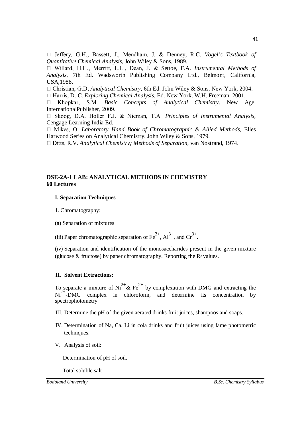Jeffery, G.H., Bassett, J., Mendham, J. & Denney, R.C. *Vogel's Textbook of Quantitative Chemical Analysis*, John Wiley & Sons, 1989.

 Willard, H.H., Merritt, L.L., Dean, J. & Settoe, F.A. *Instrumental Methods of Analysis*, 7th Ed. Wadsworth Publishing Company Ltd., Belmont, California, USA,1988.

□ Christian, G.D; *Analytical Chemistry*, 6th Ed. John Wiley & Sons, New York, 2004.

Harris, D. C. *Exploring Chemical Analysis*, Ed. New York, W.H. Freeman, 2001.

 Khopkar, S.M. *Basic Concepts of Analytical Chemistry*. New Age, InternationalPublisher, 2009.

 Skoog, D.A. Holler F.J. & Nieman, T.A. *Principles of Instrumental Analysis*, Cengage Learning India Ed.

 Mikes, O. *Laboratory Hand Book of Chromatographic & Allied Methods*, Elles Harwood Series on Analytical Chemistry, John Wiley & Sons, 1979.

Ditts, R.V. *Analytical Chemistry; Methods of Separation*, van Nostrand, 1974.

#### **DSE-2A-1 LAB: ANALYTICAL METHODS IN CHEMISTRY 60 Lectures**

#### **I. Separation Techniques**

1. Chromatography:

(a) Separation of mixtures

(iii) Paper chromatographic separation of  $Fe^{3+}$ ,  $Al^{3+}$ , and  $Cr^{3+}$ .

(iv) Separation and identification of the monosaccharides present in the given mixture (glucose  $&$  fructose) by paper chromatography. Reporting the R<sub>f</sub> values.

#### **II. Solvent Extractions:**

To separate a mixture of  $Ni^{2+}$ & Fe<sup>2+</sup> by complexation with DMG and extracting the  $Ni<sup>2+</sup>-DMG$  complex in chloroform, and determine its concentration by spectrophotometry.

- III. Determine the pH of the given aerated drinks fruit juices, shampoos and soaps.
- IV. Determination of Na, Ca, Li in cola drinks and fruit juices using fame photometric techniques.
- V. Analysis of soil:

Determination of pH of soil.

Total soluble salt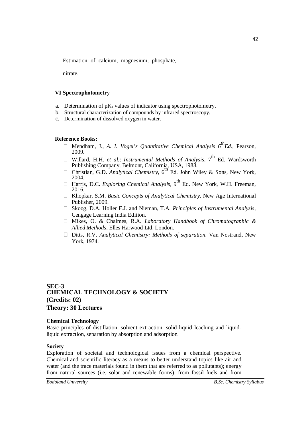Estimation of calcium, magnesium, phosphate,

nitrate.

#### **VI Spectrophotometr**y

- a. Determination of pK<sup>a</sup> values of indicator using spectrophotometry.
- b. Structural characterization of compounds by infrared spectroscopy.
- c. Determination of dissolved oxygen in water.

#### **Reference Books:**

- $\Box$  Mendham, J., *A. I. Vogel's Quantitative Chemical Analysis*  $6^{th}Ed$ *.*, Pearson, 2009.
- □ Willard, H.H. *et al.: Instrumental Methods of Analysis*, 7<sup>th</sup> Ed. Wardsworth
- Publishing Company, Belmont, California, USA, 1988.<br>□ Christian, G.D. *Analytical Chemistry*, 6<sup>th</sup> Ed. John Wiley & Sons, New York, 2004.
- $\Box$  Harris, D.C. *Exploring Chemical Analysis*, 9<sup>th</sup> Ed. New York, W.H. Freeman, 2016.
- Khopkar, S.M. *Basic Concepts of Analytical Chemistry*. New Age International Publisher, 2009.
- Skoog, D.A. Holler F.J. and Nieman, T.A. *Principles of Instrumental Analysis*, Cengage Learning India Edition.
- Mikes, O. & Chalmes, R.A. *Laboratory Handbook of Chromatographic & Allied Methods*, Elles Harwood Ltd. London.
- Ditts, R.V. *Analytical Chemistry: Methods of separation.* Van Nostrand, New York, 1974.

#### **SEC-3 CHEMICAL TECHNOLOGY & SOCIETY (Credits: 02) Theory: 30 Lectures**

#### **Chemical Technology**

Basic principles of distillation, solvent extraction, solid-liquid leaching and liquidliquid extraction, separation by absorption and adsorption.

#### **Society**

Exploration of societal and technological issues from a chemical perspective. Chemical and scientific literacy as a means to better understand topics like air and water (and the trace materials found in them that are referred to as pollutants); energy from natural sources (i.e. solar and renewable forms), from fossil fuels and from